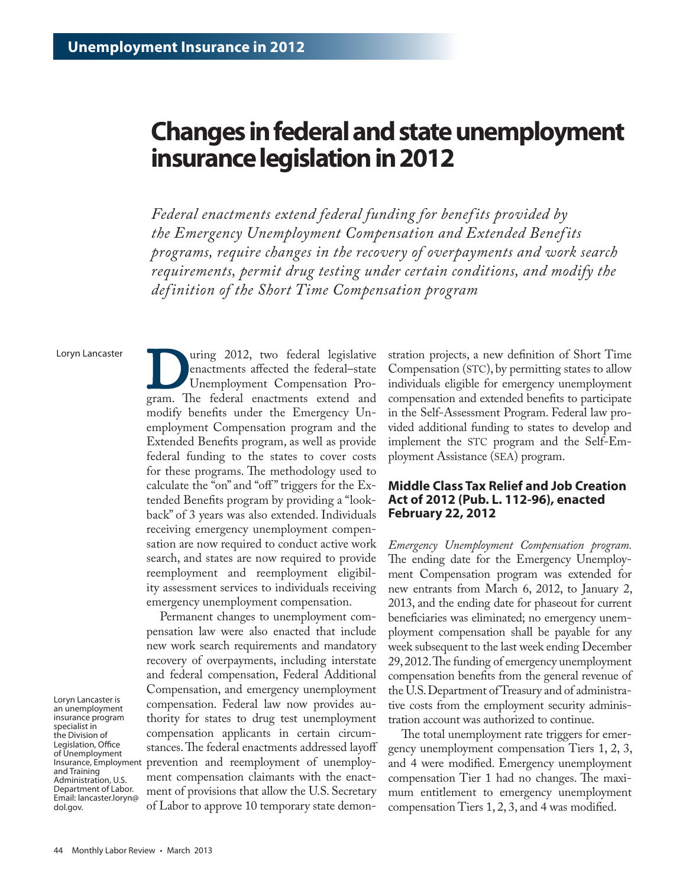# **Changes in federal and state unemployment insurance legislation in 2012**

*Federal enactments extend federal funding for benef its provided by the Emergency Unemployment Compensation and Extended Benef its programs, require changes in the recovery of overpayments and work search requirements, permit drug testing under certain conditions, and modify the def inition of the Short Time Compensation program*

Loryn Lancaster

Uning 2012, two federal legislative<br>
enactments affected the federal–state<br>
Unemployment Compensation Pro-<br>
gram. The federal enactments extend and enactments affected the federal–state Unemployment Compensation Promodify benefits under the Emergency Unemployment Compensation program and the Extended Benefits program, as well as provide federal funding to the states to cover costs for these programs. The methodology used to calculate the "on" and "off" triggers for the Extended Benefits program by providing a "lookback" of 3 years was also extended. Individuals receiving emergency unemployment compensation are now required to conduct active work search, and states are now required to provide reemployment and reemployment eligibility assessment services to individuals receiving emergency unemployment compensation.

Permanent changes to unemployment compensation law were also enacted that include new work search requirements and mandatory recovery of overpayments, including interstate and federal compensation, Federal Additional Compensation, and emergency unemployment compensation. Federal law now provides authority for states to drug test unemployment compensation applicants in certain circumstances. The federal enactments addressed layoff prevention and reemployment of unemployment compensation claimants with the enactment of provisions that allow the U.S. Secretary of Labor to approve 10 temporary state demonstration projects, a new definition of Short Time Compensation (STC), by permitting states to allow individuals eligible for emergency unemployment compensation and extended benefits to participate in the Self-Assessment Program. Federal law provided additional funding to states to develop and implement the STC program and the Self-Employment Assistance (SEA) program.

# **Middle Class Tax Relief and Job Creation Act of 2012 (Pub. L. 112-96), enacted February 22, 2012**

*Emergency Unemployment Compensation program.*  The ending date for the Emergency Unemployment Compensation program was extended for new entrants from March 6, 2012, to January 2, 2013, and the ending date for phaseout for current beneficiaries was eliminated; no emergency unemployment compensation shall be payable for any week subsequent to the last week ending December 29, 2012. The funding of emergency unemployment compensation benefits from the general revenue of the U.S. Department of Treasury and of administrative costs from the employment security administration account was authorized to continue.

The total unemployment rate triggers for emergency unemployment compensation Tiers 1, 2, 3, and 4 were modified. Emergency unemployment compensation Tier 1 had no changes. The maximum entitlement to emergency unemployment compensation Tiers 1, 2, 3, and 4 was modified.

Loryn Lancaster is an unemployment insurance program specialist in the Division of Legislation, Office of Unemployment Insurance, Employment and Training Administration, U.S. Department of Labor. Email: [lancaster.loryn@](mailto:lancaster.loryn%40dol.gov?subject=) [dol.gov.](mailto:lancaster.loryn%40dol.gov?subject=)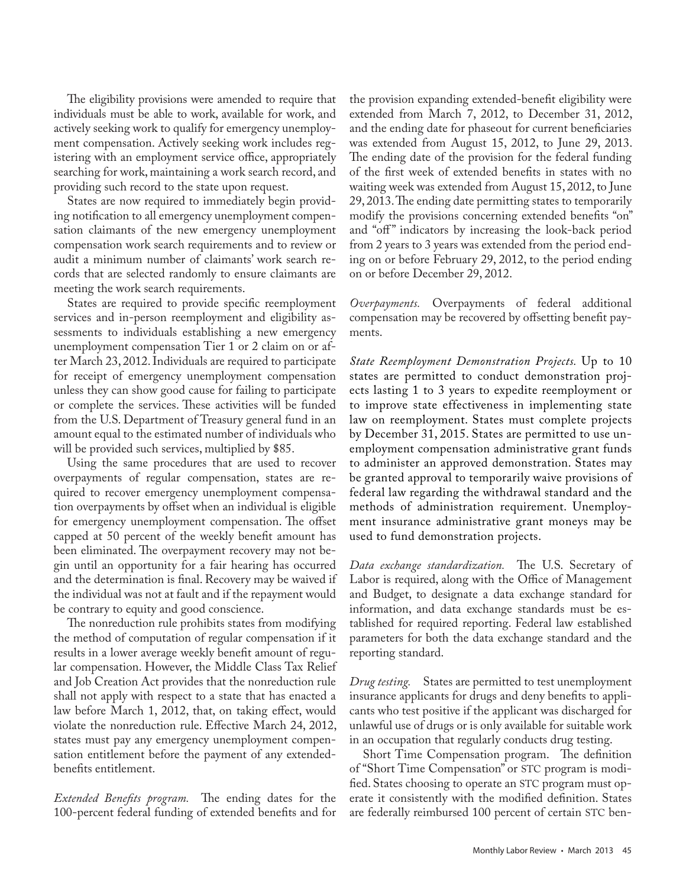The eligibility provisions were amended to require that individuals must be able to work, available for work, and actively seeking work to qualify for emergency unemployment compensation. Actively seeking work includes registering with an employment service office, appropriately searching for work, maintaining a work search record, and providing such record to the state upon request.

States are now required to immediately begin providing notification to all emergency unemployment compensation claimants of the new emergency unemployment compensation work search requirements and to review or audit a minimum number of claimants' work search records that are selected randomly to ensure claimants are meeting the work search requirements.

States are required to provide specific reemployment services and in-person reemployment and eligibility assessments to individuals establishing a new emergency unemployment compensation Tier 1 or 2 claim on or after March 23, 2012. Individuals are required to participate for receipt of emergency unemployment compensation unless they can show good cause for failing to participate or complete the services. These activities will be funded from the U.S. Department of Treasury general fund in an amount equal to the estimated number of individuals who will be provided such services, multiplied by \$85.

Using the same procedures that are used to recover overpayments of regular compensation, states are required to recover emergency unemployment compensation overpayments by offset when an individual is eligible for emergency unemployment compensation. The offset capped at 50 percent of the weekly benefit amount has been eliminated. The overpayment recovery may not begin until an opportunity for a fair hearing has occurred and the determination is final. Recovery may be waived if the individual was not at fault and if the repayment would be contrary to equity and good conscience.

The nonreduction rule prohibits states from modifying the method of computation of regular compensation if it results in a lower average weekly benefit amount of regular compensation. However, the Middle Class Tax Relief and Job Creation Act provides that the nonreduction rule shall not apply with respect to a state that has enacted a law before March 1, 2012, that, on taking effect, would violate the nonreduction rule. Effective March 24, 2012, states must pay any emergency unemployment compensation entitlement before the payment of any extendedbenefits entitlement.

*Extended Benefits program.* The ending dates for the 100-percent federal funding of extended benefits and for the provision expanding extended-benefit eligibility were extended from March 7, 2012, to December 31, 2012, and the ending date for phaseout for current beneficiaries was extended from August 15, 2012, to June 29, 2013. The ending date of the provision for the federal funding of the first week of extended benefits in states with no waiting week was extended from August 15, 2012, to June 29, 2013. The ending date permitting states to temporarily modify the provisions concerning extended benefits "on" and "off" indicators by increasing the look-back period from 2 years to 3 years was extended from the period ending on or before February 29, 2012, to the period ending on or before December 29, 2012.

*Overpayments.* Overpayments of federal additional compensation may be recovered by offsetting benefit payments.

*State Reemployment Demonstration Projects.* Up to 10 states are permitted to conduct demonstration projects lasting 1 to 3 years to expedite reemployment or to improve state effectiveness in implementing state law on reemployment. States must complete projects by December 31, 2015. States are permitted to use unemployment compensation administrative grant funds to administer an approved demonstration. States may be granted approval to temporarily waive provisions of federal law regarding the withdrawal standard and the methods of administration requirement. Unemployment insurance administrative grant moneys may be used to fund demonstration projects.

*Data exchange standardization.* The U.S. Secretary of Labor is required, along with the Office of Management and Budget, to designate a data exchange standard for information, and data exchange standards must be established for required reporting. Federal law established parameters for both the data exchange standard and the reporting standard.

*Drug testing.* States are permitted to test unemployment insurance applicants for drugs and deny benefits to applicants who test positive if the applicant was discharged for unlawful use of drugs or is only available for suitable work in an occupation that regularly conducts drug testing.

Short Time Compensation program. The definition of "Short Time Compensation" or STC program is modified. States choosing to operate an STC program must operate it consistently with the modified definition. States are federally reimbursed 100 percent of certain STC ben-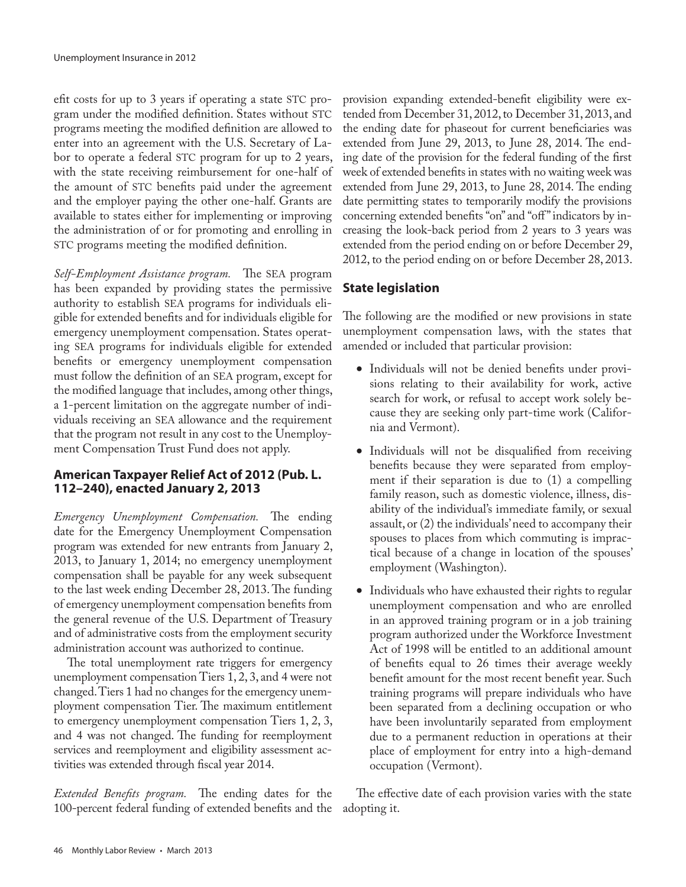efit costs for up to 3 years if operating a state STC program under the modified definition. States without STC programs meeting the modified definition are allowed to enter into an agreement with the U.S. Secretary of Labor to operate a federal STC program for up to 2 years, with the state receiving reimbursement for one-half of the amount of STC benefits paid under the agreement and the employer paying the other one-half. Grants are available to states either for implementing or improving the administration of or for promoting and enrolling in STC programs meeting the modified definition.

*Self-Employment Assistance program.* The SEA program has been expanded by providing states the permissive authority to establish SEA programs for individuals eligible for extended benefits and for individuals eligible for emergency unemployment compensation. States operating SEA programs for individuals eligible for extended benefits or emergency unemployment compensation must follow the definition of an SEA program, except for the modified language that includes, among other things, a 1-percent limitation on the aggregate number of individuals receiving an SEA allowance and the requirement that the program not result in any cost to the Unemployment Compensation Trust Fund does not apply.

# **American Taxpayer Relief Act of 2012 (Pub. L. 112–240), enacted January 2, 2013**

*Emergency Unemployment Compensation.* The ending date for the Emergency Unemployment Compensation program was extended for new entrants from January 2, 2013, to January 1, 2014; no emergency unemployment compensation shall be payable for any week subsequent to the last week ending December 28, 2013. The funding of emergency unemployment compensation benefits from the general revenue of the U.S. Department of Treasury and of administrative costs from the employment security administration account was authorized to continue.

The total unemployment rate triggers for emergency unemployment compensation Tiers 1, 2, 3, and 4 were not changed. Tiers 1 had no changes for the emergency unemployment compensation Tier. The maximum entitlement to emergency unemployment compensation Tiers 1, 2, 3, and 4 was not changed. The funding for reemployment services and reemployment and eligibility assessment activities was extended through fiscal year 2014.

*Extended Benefits program.* The ending dates for the 100-percent federal funding of extended benefits and the

provision expanding extended-benefit eligibility were extended from December 31, 2012, to December 31, 2013, and the ending date for phaseout for current beneficiaries was extended from June 29, 2013, to June 28, 2014. The ending date of the provision for the federal funding of the first week of extended benefits in states with no waiting week was extended from June 29, 2013, to June 28, 2014. The ending date permitting states to temporarily modify the provisions concerning extended benefits "on" and "off " indicators by increasing the look-back period from 2 years to 3 years was extended from the period ending on or before December 29, 2012, to the period ending on or before December 28, 2013.

# **State legislation**

The following are the modified or new provisions in state unemployment compensation laws, with the states that amended or included that particular provision:

- Individuals will not be denied benefits under provisions relating to their availability for work, active search for work, or refusal to accept work solely because they are seeking only part-time work (California and Vermont).
- Individuals will not be disqualified from receiving benefits because they were separated from employment if their separation is due to (1) a compelling family reason, such as domestic violence, illness, disability of the individual's immediate family, or sexual assault, or (2) the individuals' need to accompany their spouses to places from which commuting is impractical because of a change in location of the spouses' employment (Washington).
- Individuals who have exhausted their rights to regular unemployment compensation and who are enrolled in an approved training program or in a job training program authorized under the Workforce Investment Act of 1998 will be entitled to an additional amount of benefits equal to 26 times their average weekly benefit amount for the most recent benefit year. Such training programs will prepare individuals who have been separated from a declining occupation or who have been involuntarily separated from employment due to a permanent reduction in operations at their place of employment for entry into a high-demand occupation (Vermont).

The effective date of each provision varies with the state adopting it.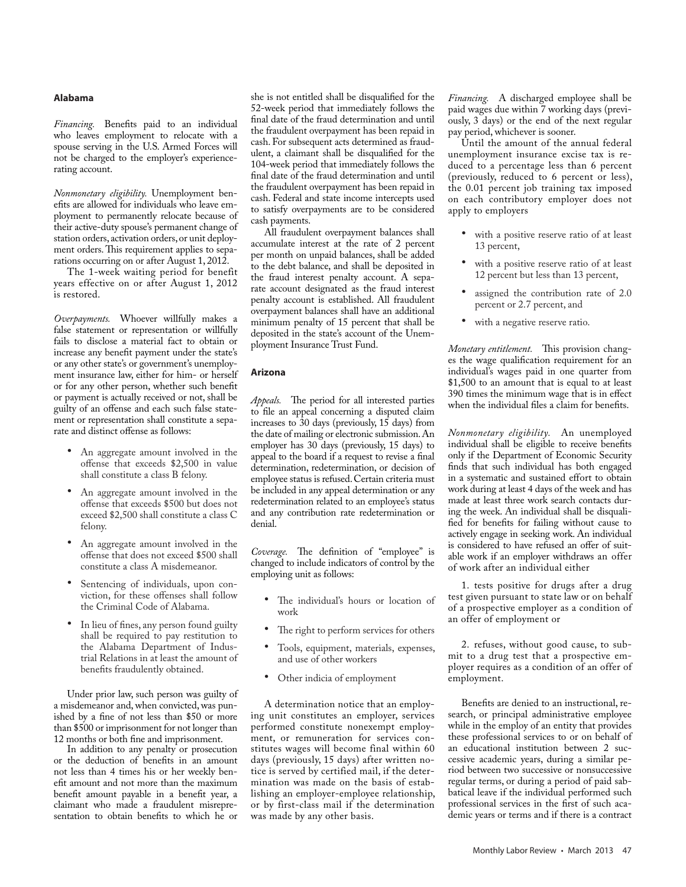# **Alabama**

*Financing.* Benefits paid to an individual who leaves employment to relocate with a spouse serving in the U.S. Armed Forces will not be charged to the employer's experiencerating account.

*Nonmonetary eligibility.* Unemployment benefits are allowed for individuals who leave employment to permanently relocate because of their active-duty spouse's permanent change of station orders, activation orders, or unit deployment orders. This requirement applies to separations occurring on or after August 1, 2012.

The 1-week waiting period for benefit years effective on or after August 1, 2012 is restored.

*Overpayments.* Whoever willfully makes a false statement or representation or willfully fails to disclose a material fact to obtain or increase any benefit payment under the state's or any other state's or government's unemployment insurance law, either for him- or herself or for any other person, whether such benefit or payment is actually received or not, shall be guilty of an offense and each such false statement or representation shall constitute a separate and distinct offense as follows:

- An aggregate amount involved in the offense that exceeds \$2,500 in value shall constitute a class B felony.
- An aggregate amount involved in the offense that exceeds \$500 but does not exceed \$2,500 shall constitute a class C felony.
- An aggregate amount involved in the offense that does not exceed \$500 shall constitute a class A misdemeanor.
- Sentencing of individuals, upon conviction, for these offenses shall follow the Criminal Code of Alabama.
- In lieu of fines, any person found guilty shall be required to pay restitution to the Alabama Department of Industrial Relations in at least the amount of benefits fraudulently obtained.

Under prior law, such person was guilty of a misdemeanor and, when convicted, was punished by a fine of not less than \$50 or more than \$500 or imprisonment for not longer than 12 months or both fine and imprisonment.

In addition to any penalty or prosecution or the deduction of benefits in an amount not less than 4 times his or her weekly benefit amount and not more than the maximum benefit amount payable in a benefit year, a claimant who made a fraudulent misrepresentation to obtain benefits to which he or

she is not entitled shall be disqualified for the 52-week period that immediately follows the final date of the fraud determination and until the fraudulent overpayment has been repaid in cash. For subsequent acts determined as fraudulent, a claimant shall be disqualified for the 104-week period that immediately follows the final date of the fraud determination and until the fraudulent overpayment has been repaid in cash. Federal and state income intercepts used to satisfy overpayments are to be considered cash payments.

All fraudulent overpayment balances shall accumulate interest at the rate of 2 percent per month on unpaid balances, shall be added to the debt balance, and shall be deposited in the fraud interest penalty account. A separate account designated as the fraud interest penalty account is established. All fraudulent overpayment balances shall have an additional minimum penalty of 15 percent that shall be deposited in the state's account of the Unemployment Insurance Trust Fund.

#### **Arizona**

*Appeals.* The period for all interested parties to file an appeal concerning a disputed claim increases to 30 days (previously, 15 days) from the date of mailing or electronic submission. An employer has 30 days (previously, 15 days) to appeal to the board if a request to revise a final determination, redetermination, or decision of employee status is refused. Certain criteria must be included in any appeal determination or any redetermination related to an employee's status and any contribution rate redetermination or denial.

*Coverage.* The definition of "employee" is changed to include indicators of control by the employing unit as follows:

- • The individual's hours or location of work
- The right to perform services for others
- • Tools, equipment, materials, expenses, and use of other workers
- • Other indicia of employment

A determination notice that an employing unit constitutes an employer, services performed constitute nonexempt employment, or remuneration for services constitutes wages will become final within 60 days (previously, 15 days) after written notice is served by certified mail, if the determination was made on the basis of establishing an employer-employee relationship, or by first-class mail if the determination was made by any other basis.

*Financing.* A discharged employee shall be paid wages due within 7 working days (previously, 3 days) or the end of the next regular pay period, whichever is sooner.

Until the amount of the annual federal unemployment insurance excise tax is reduced to a percentage less than 6 percent (previously, reduced to 6 percent or less), the 0.01 percent job training tax imposed on each contributory employer does not apply to employers

- • with a positive reserve ratio of at least 13 percent,
- with a positive reserve ratio of at least 12 percent but less than 13 percent,
- assigned the contribution rate of 2.0 percent or 2.7 percent, and
- with a negative reserve ratio.

*Monetary entitlement.* This provision changes the wage qualification requirement for an individual's wages paid in one quarter from \$1,500 to an amount that is equal to at least 390 times the minimum wage that is in effect when the individual files a claim for benefits.

*Nonmonetary eligibility.* An unemployed individual shall be eligible to receive benefits only if the Department of Economic Security finds that such individual has both engaged in a systematic and sustained effort to obtain work during at least 4 days of the week and has made at least three work search contacts during the week. An individual shall be disqualified for benefits for failing without cause to actively engage in seeking work. An individual is considered to have refused an offer of suitable work if an employer withdraws an offer of work after an individual either

1. tests positive for drugs after a drug test given pursuant to state law or on behalf of a prospective employer as a condition of an offer of employment or

2. refuses, without good cause, to submit to a drug test that a prospective employer requires as a condition of an offer of employment.

Benefits are denied to an instructional, research, or principal administrative employee while in the employ of an entity that provides these professional services to or on behalf of an educational institution between 2 successive academic years, during a similar period between two successive or nonsuccessive regular terms, or during a period of paid sabbatical leave if the individual performed such professional services in the first of such academic years or terms and if there is a contract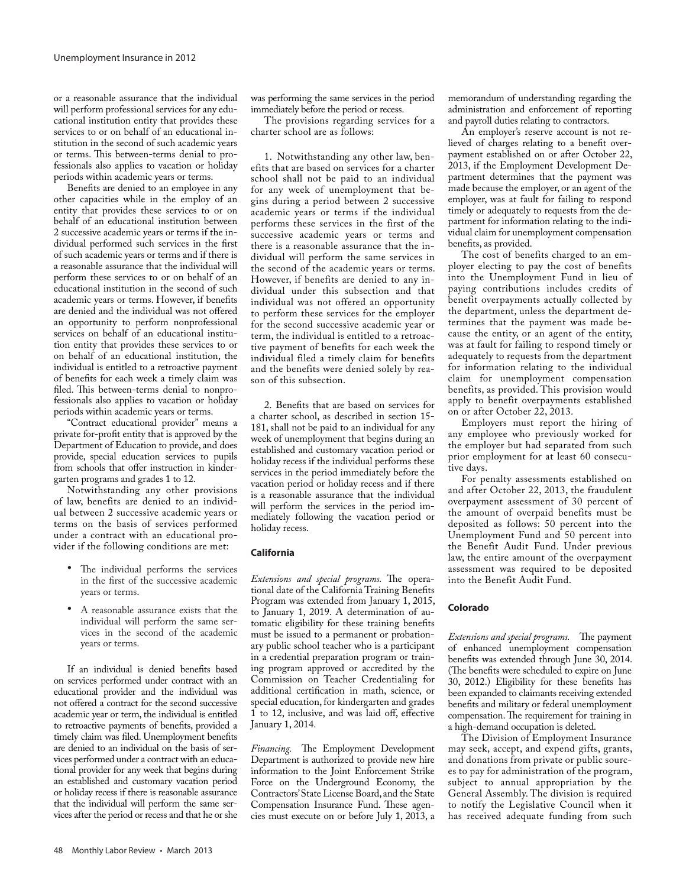or a reasonable assurance that the individual will perform professional services for any educational institution entity that provides these services to or on behalf of an educational institution in the second of such academic years or terms. This between-terms denial to professionals also applies to vacation or holiday periods within academic years or terms.

Benefits are denied to an employee in any other capacities while in the employ of an entity that provides these services to or on behalf of an educational institution between 2 successive academic years or terms if the individual performed such services in the first of such academic years or terms and if there is a reasonable assurance that the individual will perform these services to or on behalf of an educational institution in the second of such academic years or terms. However, if benefits are denied and the individual was not offered an opportunity to perform nonprofessional services on behalf of an educational institution entity that provides these services to or on behalf of an educational institution, the individual is entitled to a retroactive payment of benefits for each week a timely claim was filed. This between-terms denial to nonprofessionals also applies to vacation or holiday periods within academic years or terms.

"Contract educational provider" means a private for-profit entity that is approved by the Department of Education to provide, and does provide, special education services to pupils from schools that offer instruction in kindergarten programs and grades 1 to 12.

Notwithstanding any other provisions of law, benefits are denied to an individual between 2 successive academic years or terms on the basis of services performed under a contract with an educational provider if the following conditions are met:

- • The individual performs the services in the first of the successive academic years or terms.
- A reasonable assurance exists that the individual will perform the same services in the second of the academic years or terms.

If an individual is denied benefits based on services performed under contract with an educational provider and the individual was not offered a contract for the second successive academic year or term, the individual is entitled to retroactive payments of benefits, provided a timely claim was filed. Unemployment benefits are denied to an individual on the basis of services performed under a contract with an educational provider for any week that begins during an established and customary vacation period or holiday recess if there is reasonable assurance that the individual will perform the same services after the period or recess and that he or she was performing the same services in the period immediately before the period or recess.

The provisions regarding services for a charter school are as follows:

1. Notwithstanding any other law, benefits that are based on services for a charter school shall not be paid to an individual for any week of unemployment that begins during a period between 2 successive academic years or terms if the individual performs these services in the first of the successive academic years or terms and there is a reasonable assurance that the individual will perform the same services in the second of the academic years or terms. However, if benefits are denied to any individual under this subsection and that individual was not offered an opportunity to perform these services for the employer for the second successive academic year or term, the individual is entitled to a retroactive payment of benefits for each week the individual filed a timely claim for benefits and the benefits were denied solely by reason of this subsection.

2. Benefits that are based on services for a charter school, as described in section 15- 181, shall not be paid to an individual for any week of unemployment that begins during an established and customary vacation period or holiday recess if the individual performs these services in the period immediately before the vacation period or holiday recess and if there is a reasonable assurance that the individual will perform the services in the period immediately following the vacation period or holiday recess.

# **California**

*Extensions and special programs.* The operational date of the California Training Benefits Program was extended from January 1, 2015, to January 1, 2019. A determination of automatic eligibility for these training benefits must be issued to a permanent or probationary public school teacher who is a participant in a credential preparation program or training program approved or accredited by the Commission on Teacher Credentialing for additional certification in math, science, or special education, for kindergarten and grades 1 to 12, inclusive, and was laid off, effective January 1, 2014.

*Financing.* The Employment Development Department is authorized to provide new hire information to the Joint Enforcement Strike Force on the Underground Economy, the Contractors' State License Board, and the State Compensation Insurance Fund. These agencies must execute on or before July 1, 2013, a

memorandum of understanding regarding the administration and enforcement of reporting and payroll duties relating to contractors.

An employer's reserve account is not relieved of charges relating to a benefit overpayment established on or after October 22, 2013, if the Employment Development Department determines that the payment was made because the employer, or an agent of the employer, was at fault for failing to respond timely or adequately to requests from the department for information relating to the individual claim for unemployment compensation benefits, as provided.

The cost of benefits charged to an employer electing to pay the cost of benefits into the Unemployment Fund in lieu of paying contributions includes credits of benefit overpayments actually collected by the department, unless the department determines that the payment was made because the entity, or an agent of the entity, was at fault for failing to respond timely or adequately to requests from the department for information relating to the individual claim for unemployment compensation benefits, as provided. This provision would apply to benefit overpayments established on or after October 22, 2013.

Employers must report the hiring of any employee who previously worked for the employer but had separated from such prior employment for at least 60 consecutive days.

For penalty assessments established on and after October 22, 2013, the fraudulent overpayment assessment of 30 percent of the amount of overpaid benefits must be deposited as follows: 50 percent into the Unemployment Fund and 50 percent into the Benefit Audit Fund. Under previous law, the entire amount of the overpayment assessment was required to be deposited into the Benefit Audit Fund.

# **Colorado**

*Extensions and special programs.* The payment of enhanced unemployment compensation benefits was extended through June 30, 2014. (The benefits were scheduled to expire on June 30, 2012.) Eligibility for these benefits has been expanded to claimants receiving extended benefits and military or federal unemployment compensation. The requirement for training in a high-demand occupation is deleted.

The Division of Employment Insurance may seek, accept, and expend gifts, grants, and donations from private or public sources to pay for administration of the program, subject to annual appropriation by the General Assembly. The division is required to notify the Legislative Council when it has received adequate funding from such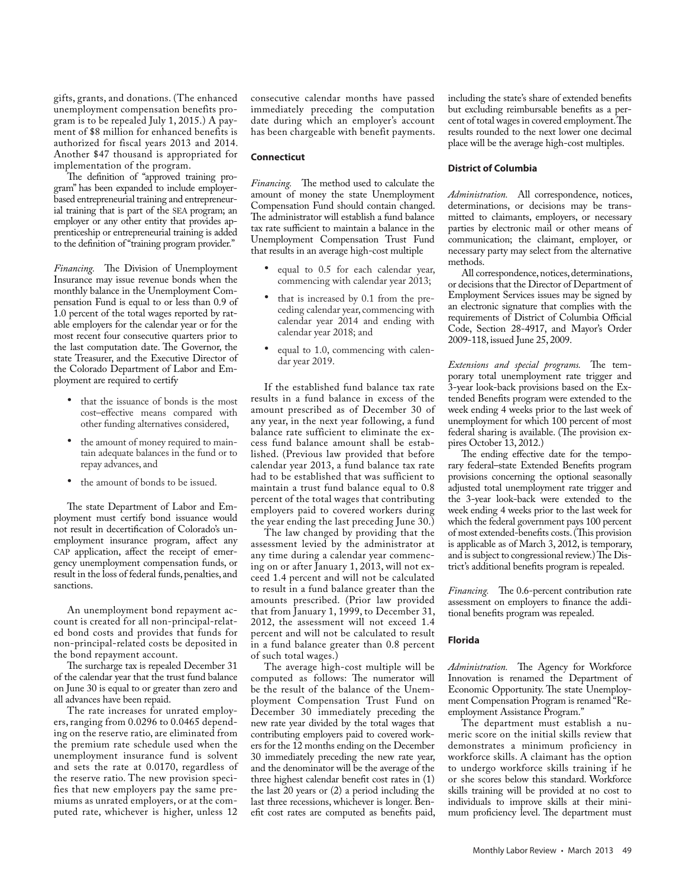gifts, grants, and donations. (The enhanced unemployment compensation benefits program is to be repealed July 1, 2015.) A payment of \$8 million for enhanced benefits is authorized for fiscal years 2013 and 2014. Another \$47 thousand is appropriated for implementation of the program.

The definition of "approved training program" has been expanded to include employerbased entrepreneurial training and entrepreneurial training that is part of the SEA program; an employer or any other entity that provides apprenticeship or entrepreneurial training is added to the definition of "training program provider."

*Financing.* The Division of Unemployment Insurance may issue revenue bonds when the monthly balance in the Unemployment Compensation Fund is equal to or less than 0.9 of 1.0 percent of the total wages reported by ratable employers for the calendar year or for the most recent four consecutive quarters prior to the last computation date. The Governor, the state Treasurer, and the Executive Director of the Colorado Department of Labor and Employment are required to certify

- that the issuance of bonds is the most cost–effective means compared with other funding alternatives considered,
- the amount of money required to maintain adequate balances in the fund or to repay advances, and
- the amount of bonds to be issued.

The state Department of Labor and Employment must certify bond issuance would not result in decertification of Colorado's unemployment insurance program, affect any CAP application, affect the receipt of emergency unemployment compensation funds, or result in the loss of federal funds, penalties, and sanctions.

An unemployment bond repayment account is created for all non-principal-related bond costs and provides that funds for non-principal-related costs be deposited in the bond repayment account.

The surcharge tax is repealed December 31 of the calendar year that the trust fund balance on June 30 is equal to or greater than zero and all advances have been repaid.

The rate increases for unrated employers, ranging from 0.0296 to 0.0465 depending on the reserve ratio, are eliminated from the premium rate schedule used when the unemployment insurance fund is solvent and sets the rate at 0.0170, regardless of the reserve ratio. The new provision specifies that new employers pay the same premiums as unrated employers, or at the computed rate, whichever is higher, unless 12

consecutive calendar months have passed immediately preceding the computation date during which an employer's account has been chargeable with benefit payments.

#### **Connecticut**

*Financing.* The method used to calculate the amount of money the state Unemployment Compensation Fund should contain changed. The administrator will establish a fund balance tax rate sufficient to maintain a balance in the Unemployment Compensation Trust Fund that results in an average high-cost multiple

- equal to 0.5 for each calendar year, commencing with calendar year 2013;
- that is increased by 0.1 from the preceding calendar year, commencing with calendar year 2014 and ending with calendar year 2018; and
- equal to 1.0, commencing with calendar year 2019.

If the established fund balance tax rate results in a fund balance in excess of the amount prescribed as of December 30 of any year, in the next year following, a fund balance rate sufficient to eliminate the excess fund balance amount shall be established. (Previous law provided that before calendar year 2013, a fund balance tax rate had to be established that was sufficient to maintain a trust fund balance equal to 0.8 percent of the total wages that contributing employers paid to covered workers during the year ending the last preceding June 30.)

The law changed by providing that the assessment levied by the administrator at any time during a calendar year commencing on or after January 1, 2013, will not exceed 1.4 percent and will not be calculated to result in a fund balance greater than the amounts prescribed. (Prior law provided that from January 1, 1999, to December 31, 2012, the assessment will not exceed 1.4 percent and will not be calculated to result in a fund balance greater than 0.8 percent of such total wages.)

The average high-cost multiple will be computed as follows: The numerator will be the result of the balance of the Unemployment Compensation Trust Fund on December 30 immediately preceding the new rate year divided by the total wages that contributing employers paid to covered workers for the 12 months ending on the December 30 immediately preceding the new rate year, and the denominator will be the average of the three highest calendar benefit cost rates in (1) the last 20 years or (2) a period including the last three recessions, whichever is longer. Benefit cost rates are computed as benefits paid, including the state's share of extended benefits but excluding reimbursable benefits as a percent of total wages in covered employment. The results rounded to the next lower one decimal place will be the average high-cost multiples.

#### **District of Columbia**

*Administration.* All correspondence, notices, determinations, or decisions may be transmitted to claimants, employers, or necessary parties by electronic mail or other means of communication; the claimant, employer, or necessary party may select from the alternative methods.

All correspondence, notices, determinations, or decisions that the Director of Department of Employment Services issues may be signed by an electronic signature that complies with the requirements of District of Columbia Official Code, Section 28-4917, and Mayor's Order 2009-118, issued June 25, 2009.

*Extensions and special programs.* The temporary total unemployment rate trigger and 3-year look-back provisions based on the Extended Benefits program were extended to the week ending 4 weeks prior to the last week of unemployment for which 100 percent of most federal sharing is available. (The provision expires October 13, 2012.)

The ending effective date for the temporary federal–state Extended Benefits program provisions concerning the optional seasonally adjusted total unemployment rate trigger and the 3-year look-back were extended to the week ending 4 weeks prior to the last week for which the federal government pays 100 percent of most extended-benefits costs. (This provision is applicable as of March 3, 2012, is temporary, and is subject to congressional review.) The District's additional benefits program is repealed.

*Financing.* The 0.6-percent contribution rate assessment on employers to finance the additional benefits program was repealed.

## **Florida**

*Administration.* The Agency for Workforce Innovation is renamed the Department of Economic Opportunity. The state Unemployment Compensation Program is renamed "Reemployment Assistance Program."

The department must establish a numeric score on the initial skills review that demonstrates a minimum proficiency in workforce skills. A claimant has the option to undergo workforce skills training if he or she scores below this standard. Workforce skills training will be provided at no cost to individuals to improve skills at their minimum proficiency level. The department must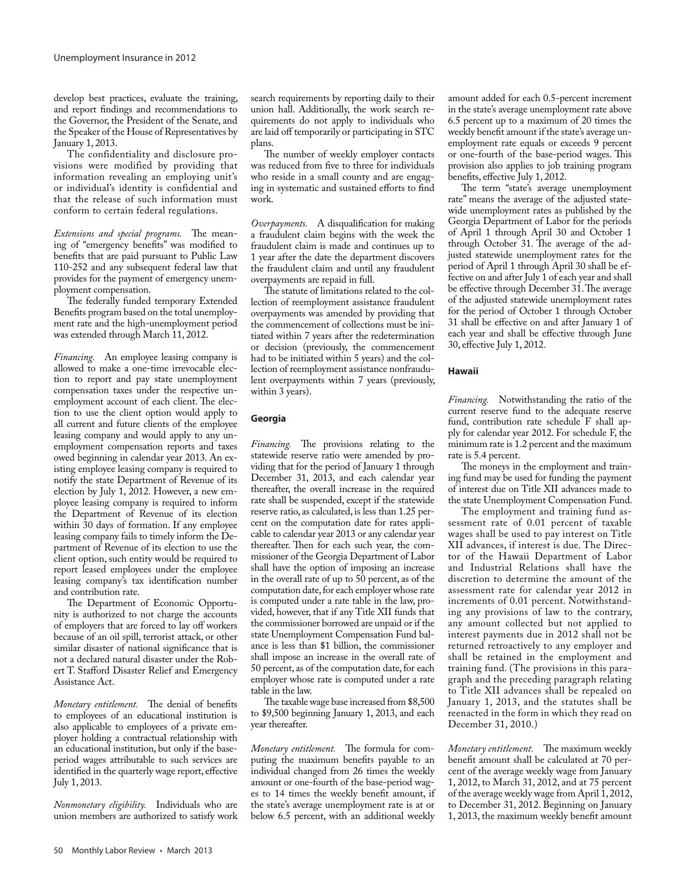develop best practices, evaluate the training, and report findings and recommendations to the Governor, the President of the Senate, and the Speaker of the House of Representatives by January 1, 2013.

The confidentiality and disclosure provisions were modified by providing that information revealing an employing unit's or individual's identity is confidential and that the release of such information must conform to certain federal regulations.

*Extensions and special programs.* The meaning of "emergency benefits" was modified to benefits that are paid pursuant to Public Law 110-252 and any subsequent federal law that provides for the payment of emergency unemployment compensation.

The federally funded temporary Extended Benefits program based on the total unemployment rate and the high-unemployment period was extended through March 11, 2012.

*Financing.* An employee leasing company is allowed to make a one-time irrevocable election to report and pay state unemployment compensation taxes under the respective unemployment account of each client. The election to use the client option would apply to all current and future clients of the employee leasing company and would apply to any unemployment compensation reports and taxes owed beginning in calendar year 2013. An existing employee leasing company is required to notify the state Department of Revenue of its election by July 1, 2012. However, a new employee leasing company is required to inform the Department of Revenue of its election within 30 days of formation. If any employee leasing company fails to timely inform the Department of Revenue of its election to use the client option, such entity would be required to report leased employees under the employee leasing company's tax identification number and contribution rate.

The Department of Economic Opportunity is authorized to not charge the accounts of employers that are forced to lay off workers because of an oil spill, terrorist attack, or other similar disaster of national significance that is not a declared natural disaster under the Robert T. Stafford Disaster Relief and Emergency Assistance Act.

*Monetary entitlement.* The denial of benefits to employees of an educational institution is also applicable to employees of a private employer holding a contractual relationship with an educational institution, but only if the baseperiod wages attributable to such services are identified in the quarterly wage report, effective July 1, 2013.

*Nonmonetary eligibility.* Individuals who are union members are authorized to satisfy work search requirements by reporting daily to their union hall. Additionally, the work search requirements do not apply to individuals who are laid off temporarily or participating in STC plans.

The number of weekly employer contacts was reduced from five to three for individuals who reside in a small county and are engaging in systematic and sustained efforts to find work.

*Overpayments.* A disqualification for making a fraudulent claim begins with the week the fraudulent claim is made and continues up to 1 year after the date the department discovers the fraudulent claim and until any fraudulent overpayments are repaid in full.

The statute of limitations related to the collection of reemployment assistance fraudulent overpayments was amended by providing that the commencement of collections must be initiated within 7 years after the redetermination or decision (previously, the commencement had to be initiated within 5 years) and the collection of reemployment assistance nonfraudulent overpayments within 7 years (previously, within 3 years).

# **Georgia**

*Financing.* The provisions relating to the statewide reserve ratio were amended by providing that for the period of January 1 through December 31, 2013, and each calendar year thereafter, the overall increase in the required rate shall be suspended, except if the statewide reserve ratio, as calculated, is less than 1.25 percent on the computation date for rates applicable to calendar year 2013 or any calendar year thereafter. Then for each such year, the commissioner of the Georgia Department of Labor shall have the option of imposing an increase in the overall rate of up to 50 percent, as of the computation date, for each employer whose rate is computed under a rate table in the law, provided, however, that if any Title XII funds that the commissioner borrowed are unpaid or if the state Unemployment Compensation Fund balance is less than \$1 billion, the commissioner shall impose an increase in the overall rate of 50 percent, as of the computation date, for each employer whose rate is computed under a rate table in the law.

The taxable wage base increased from \$8,500 to \$9,500 beginning January 1, 2013, and each year thereafter.

*Monetary entitlement.* The formula for computing the maximum benefits payable to an individual changed from 26 times the weekly amount or one-fourth of the base-period wages to 14 times the weekly benefit amount, if the state's average unemployment rate is at or below 6.5 percent, with an additional weekly

amount added for each 0.5-percent increment in the state's average unemployment rate above 6.5 percent up to a maximum of 20 times the weekly benefit amount if the state's average unemployment rate equals or exceeds 9 percent or one-fourth of the base-period wages. This provision also applies to job training program benefits, effective July 1, 2012.

The term "state's average unemployment rate" means the average of the adjusted statewide unemployment rates as published by the Georgia Department of Labor for the periods of April 1 through April 30 and October 1 through October 31. The average of the adjusted statewide unemployment rates for the period of April 1 through April 30 shall be effective on and after July 1 of each year and shall be effective through December 31. The average of the adjusted statewide unemployment rates for the period of October 1 through October 31 shall be effective on and after January 1 of each year and shall be effective through June 30, effective July 1, 2012.

# **Hawaii**

*Financing.* Notwithstanding the ratio of the current reserve fund to the adequate reserve fund, contribution rate schedule F shall apply for calendar year 2012. For schedule F, the minimum rate is 1.2 percent and the maximum rate is 5.4 percent.

The moneys in the employment and training fund may be used for funding the payment of interest due on Title XII advances made to the state Unemployment Compensation Fund.

The employment and training fund assessment rate of 0.01 percent of taxable wages shall be used to pay interest on Title XII advances, if interest is due. The Director of the Hawaii Department of Labor and Industrial Relations shall have the discretion to determine the amount of the assessment rate for calendar year 2012 in increments of 0.01 percent. Notwithstanding any provisions of law to the contrary, any amount collected but not applied to interest payments due in 2012 shall not be returned retroactively to any employer and shall be retained in the employment and training fund. (The provisions in this paragraph and the preceding paragraph relating to Title XII advances shall be repealed on January 1, 2013, and the statutes shall be reenacted in the form in which they read on December 31, 2010.)

*Monetary entitlement.* The maximum weekly benefit amount shall be calculated at 70 percent of the average weekly wage from January 1, 2012, to March 31, 2012, and at 75 percent of the average weekly wage from April 1, 2012, to December 31, 2012. Beginning on January 1, 2013, the maximum weekly benefit amount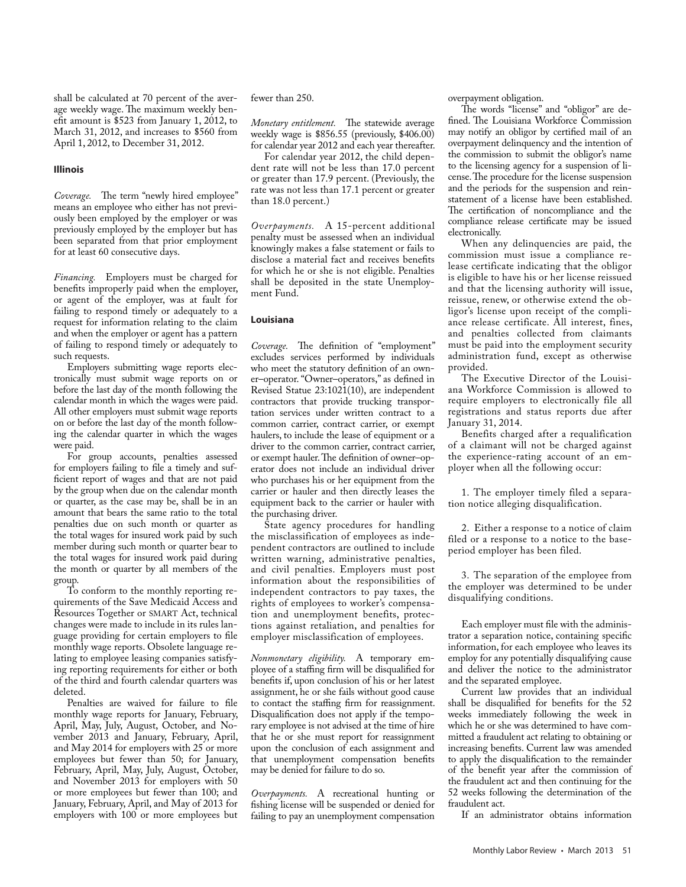shall be calculated at 70 percent of the average weekly wage. The maximum weekly benefit amount is \$523 from January 1, 2012, to March 31, 2012, and increases to \$560 from April 1, 2012, to December 31, 2012.

# **Illinois**

*Coverage.* The term "newly hired employee" means an employee who either has not previously been employed by the employer or was previously employed by the employer but has been separated from that prior employment for at least 60 consecutive days.

*Financing.* Employers must be charged for benefits improperly paid when the employer, or agent of the employer, was at fault for failing to respond timely or adequately to a request for information relating to the claim and when the employer or agent has a pattern of failing to respond timely or adequately to such requests.

Employers submitting wage reports electronically must submit wage reports on or before the last day of the month following the calendar month in which the wages were paid. All other employers must submit wage reports on or before the last day of the month following the calendar quarter in which the wages were paid.

For group accounts, penalties assessed for employers failing to file a timely and sufficient report of wages and that are not paid by the group when due on the calendar month or quarter, as the case may be, shall be in an amount that bears the same ratio to the total penalties due on such month or quarter as the total wages for insured work paid by such member during such month or quarter bear to the total wages for insured work paid during the month or quarter by all members of the group.

To conform to the monthly reporting requirements of the Save Medicaid Access and Resources Together or SMART Act, technical changes were made to include in its rules language providing for certain employers to file monthly wage reports. Obsolete language relating to employee leasing companies satisfying reporting requirements for either or both of the third and fourth calendar quarters was deleted.

Penalties are waived for failure to file monthly wage reports for January, February, April, May, July, August, October, and November 2013 and January, February, April, and May 2014 for employers with 25 or more employees but fewer than 50; for January, February, April, May, July, August, October, and November 2013 for employers with 50 or more employees but fewer than 100; and January, February, April, and May of 2013 for employers with 100 or more employees but fewer than 250.

*Monetary entitlement.* The statewide average weekly wage is \$856.55 (previously, \$406.00) for calendar year 2012 and each year thereafter.

For calendar year 2012, the child dependent rate will not be less than 17.0 percent or greater than 17.9 percent. (Previously, the rate was not less than 17.1 percent or greater than 18.0 percent.)

*Overpayments.* A 15-percent additional penalty must be assessed when an individual knowingly makes a false statement or fails to disclose a material fact and receives benefits for which he or she is not eligible. Penalties shall be deposited in the state Unemployment Fund.

# **Louisiana**

*Coverage.* The definition of "employment" excludes services performed by individuals who meet the statutory definition of an owner–operator. "Owner–operators," as defined in Revised Statue 23:1021(10), are independent contractors that provide trucking transportation services under written contract to a common carrier, contract carrier, or exempt haulers, to include the lease of equipment or a driver to the common carrier, contract carrier, or exempt hauler. The definition of owner–operator does not include an individual driver who purchases his or her equipment from the carrier or hauler and then directly leases the equipment back to the carrier or hauler with the purchasing driver.

State agency procedures for handling the misclassification of employees as independent contractors are outlined to include written warning, administrative penalties, and civil penalties. Employers must post information about the responsibilities of independent contractors to pay taxes, the rights of employees to worker's compensation and unemployment benefits, protections against retaliation, and penalties for employer misclassification of employees.

*Nonmonetary eligibility.* A temporary employee of a staffing firm will be disqualified for benefits if, upon conclusion of his or her latest assignment, he or she fails without good cause to contact the staffing firm for reassignment. Disqualification does not apply if the temporary employee is not advised at the time of hire that he or she must report for reassignment upon the conclusion of each assignment and that unemployment compensation benefits may be denied for failure to do so.

*Overpayments.* A recreational hunting or fishing license will be suspended or denied for failing to pay an unemployment compensation

overpayment obligation.

The words "license" and "obligor" are defined. The Louisiana Workforce Commission may notify an obligor by certified mail of an overpayment delinquency and the intention of the commission to submit the obligor's name to the licensing agency for a suspension of license. The procedure for the license suspension and the periods for the suspension and reinstatement of a license have been established. The certification of noncompliance and the compliance release certificate may be issued electronically.

When any delinquencies are paid, the commission must issue a compliance release certificate indicating that the obligor is eligible to have his or her license reissued and that the licensing authority will issue, reissue, renew, or otherwise extend the obligor's license upon receipt of the compliance release certificate. All interest, fines, and penalties collected from claimants must be paid into the employment security administration fund, except as otherwise provided.

The Executive Director of the Louisiana Workforce Commission is allowed to require employers to electronically file all registrations and status reports due after January 31, 2014.

Benefits charged after a requalification of a claimant will not be charged against the experience-rating account of an employer when all the following occur:

1. The employer timely filed a separation notice alleging disqualification.

2. Either a response to a notice of claim filed or a response to a notice to the baseperiod employer has been filed.

3. The separation of the employee from the employer was determined to be under disqualifying conditions.

Each employer must file with the administrator a separation notice, containing specific information, for each employee who leaves its employ for any potentially disqualifying cause and deliver the notice to the administrator and the separated employee.

Current law provides that an individual shall be disqualified for benefits for the 52 weeks immediately following the week in which he or she was determined to have committed a fraudulent act relating to obtaining or increasing benefits. Current law was amended to apply the disqualification to the remainder of the benefit year after the commission of the fraudulent act and then continuing for the 52 weeks following the determination of the fraudulent act.

If an administrator obtains information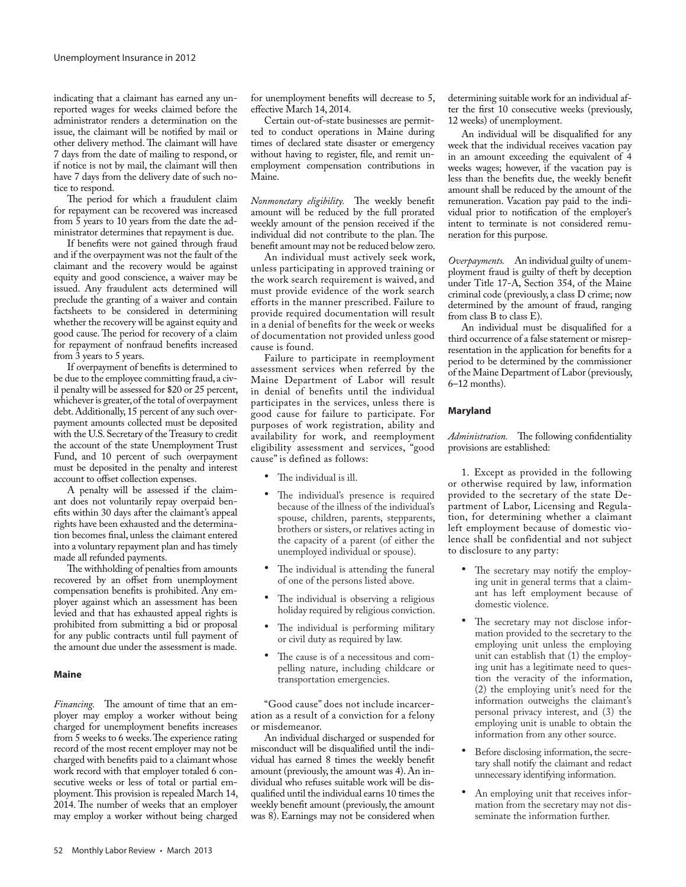indicating that a claimant has earned any unreported wages for weeks claimed before the administrator renders a determination on the issue, the claimant will be notified by mail or other delivery method. The claimant will have 7 days from the date of mailing to respond, or if notice is not by mail, the claimant will then have 7 days from the delivery date of such notice to respond.

The period for which a fraudulent claim for repayment can be recovered was increased from 5 years to 10 years from the date the administrator determines that repayment is due.

If benefits were not gained through fraud and if the overpayment was not the fault of the claimant and the recovery would be against equity and good conscience, a waiver may be issued. Any fraudulent acts determined will preclude the granting of a waiver and contain factsheets to be considered in determining whether the recovery will be against equity and good cause. The period for recovery of a claim for repayment of nonfraud benefits increased from 3 years to 5 years.

If overpayment of benefits is determined to be due to the employee committing fraud, a civil penalty will be assessed for \$20 or 25 percent, whichever is greater, of the total of overpayment debt. Additionally, 15 percent of any such overpayment amounts collected must be deposited with the U.S. Secretary of the Treasury to credit the account of the state Unemployment Trust Fund, and 10 percent of such overpayment must be deposited in the penalty and interest account to offset collection expenses.

A penalty will be assessed if the claimant does not voluntarily repay overpaid benefits within 30 days after the claimant's appeal rights have been exhausted and the determination becomes final, unless the claimant entered into a voluntary repayment plan and has timely made all refunded payments.

The withholding of penalties from amounts recovered by an offset from unemployment compensation benefits is prohibited. Any employer against which an assessment has been levied and that has exhausted appeal rights is prohibited from submitting a bid or proposal for any public contracts until full payment of the amount due under the assessment is made.

#### **Maine**

*Financing.* The amount of time that an employer may employ a worker without being charged for unemployment benefits increases from 5 weeks to 6 weeks. The experience rating record of the most recent employer may not be charged with benefits paid to a claimant whose work record with that employer totaled 6 consecutive weeks or less of total or partial employment. This provision is repealed March 14, 2014. The number of weeks that an employer may employ a worker without being charged

for unemployment benefits will decrease to 5, effective March 14, 2014.

Certain out-of-state businesses are permitted to conduct operations in Maine during times of declared state disaster or emergency without having to register, file, and remit unemployment compensation contributions in Maine.

*Nonmonetary eligibility.* The weekly benefit amount will be reduced by the full prorated weekly amount of the pension received if the individual did not contribute to the plan. The benefit amount may not be reduced below zero.

An individual must actively seek work, unless participating in approved training or the work search requirement is waived, and must provide evidence of the work search efforts in the manner prescribed. Failure to provide required documentation will result in a denial of benefits for the week or weeks of documentation not provided unless good cause is found.

Failure to participate in reemployment assessment services when referred by the Maine Department of Labor will result in denial of benefits until the individual participates in the services, unless there is good cause for failure to participate. For purposes of work registration, ability and availability for work, and reemployment eligibility assessment and services, "good cause" is defined as follows:

- The individual is ill.
- The individual's presence is required because of the illness of the individual's spouse, children, parents, stepparents, brothers or sisters, or relatives acting in the capacity of a parent (of either the unemployed individual or spouse).
- The individual is attending the funeral of one of the persons listed above.
- • The individual is observing a religious holiday required by religious conviction.
- The individual is performing military or civil duty as required by law.
- • The cause is of a necessitous and compelling nature, including childcare or transportation emergencies.

"Good cause" does not include incarceration as a result of a conviction for a felony or misdemeanor.

An individual discharged or suspended for misconduct will be disqualified until the individual has earned 8 times the weekly benefit amount (previously, the amount was 4). An individual who refuses suitable work will be disqualified until the individual earns 10 times the weekly benefit amount (previously, the amount was 8). Earnings may not be considered when

determining suitable work for an individual after the first 10 consecutive weeks (previously, 12 weeks) of unemployment.

An individual will be disqualified for any week that the individual receives vacation pay in an amount exceeding the equivalent of 4 weeks wages; however, if the vacation pay is less than the benefits due, the weekly benefit amount shall be reduced by the amount of the remuneration. Vacation pay paid to the individual prior to notification of the employer's intent to terminate is not considered remuneration for this purpose.

*Overpayments.* An individual guilty of unemployment fraud is guilty of theft by deception under Title 17-A, Section 354, of the Maine criminal code (previously, a class D crime; now determined by the amount of fraud, ranging from class B to class E).

An individual must be disqualified for a third occurrence of a false statement or misrepresentation in the application for benefits for a period to be determined by the commissioner of the Maine Department of Labor (previously, 6–12 months).

## **Maryland**

*Administration.* The following confidentiality provisions are established:

1. Except as provided in the following or otherwise required by law, information provided to the secretary of the state Department of Labor, Licensing and Regulation, for determining whether a claimant left employment because of domestic violence shall be confidential and not subject to disclosure to any party:

- The secretary may notify the employing unit in general terms that a claimant has left employment because of domestic violence.
- The secretary may not disclose information provided to the secretary to the employing unit unless the employing unit can establish that (1) the employing unit has a legitimate need to question the veracity of the information, (2) the employing unit's need for the information outweighs the claimant's personal privacy interest, and (3) the employing unit is unable to obtain the information from any other source.
- Before disclosing information, the secretary shall notify the claimant and redact unnecessary identifying information.
- An employing unit that receives information from the secretary may not disseminate the information further.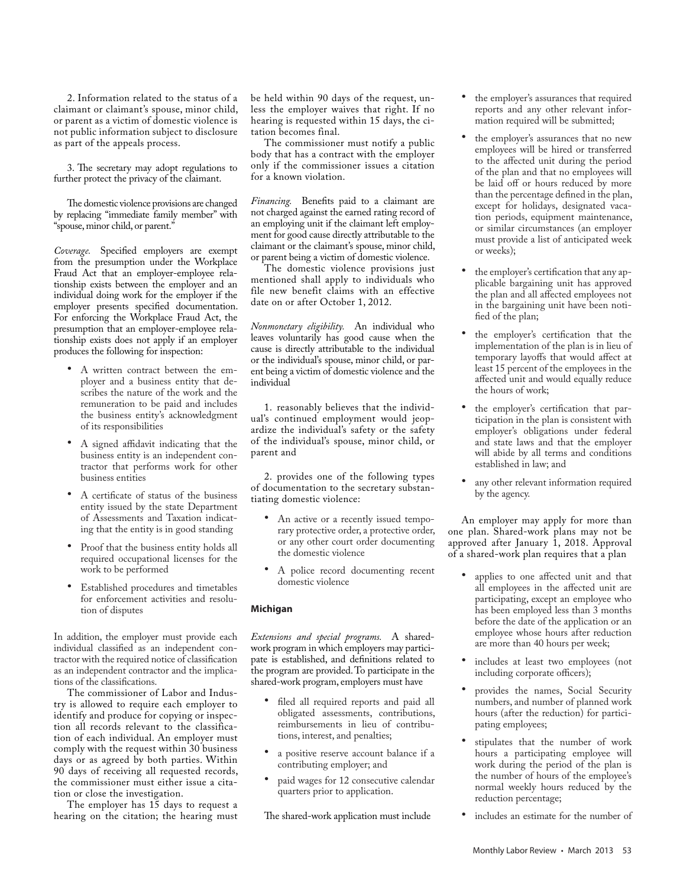2. Information related to the status of a claimant or claimant's spouse, minor child, or parent as a victim of domestic violence is not public information subject to disclosure as part of the appeals process.

3. The secretary may adopt regulations to further protect the privacy of the claimant.

The domestic violence provisions are changed by replacing "immediate family member" with "spouse, minor child, or parent."

*Coverage.* Specified employers are exempt from the presumption under the Workplace Fraud Act that an employer-employee relationship exists between the employer and an individual doing work for the employer if the employer presents specified documentation. For enforcing the Workplace Fraud Act, the presumption that an employer-employee relationship exists does not apply if an employer produces the following for inspection:

- • A written contract between the employer and a business entity that describes the nature of the work and the remuneration to be paid and includes the business entity's acknowledgment of its responsibilities
- A signed affidavit indicating that the business entity is an independent contractor that performs work for other business entities
- A certificate of status of the business entity issued by the state Department of Assessments and Taxation indicating that the entity is in good standing
- • Proof that the business entity holds all required occupational licenses for the work to be performed
- Established procedures and timetables for enforcement activities and resolution of disputes

In addition, the employer must provide each individual classified as an independent contractor with the required notice of classification as an independent contractor and the implications of the classifications.

The commissioner of Labor and Industry is allowed to require each employer to identify and produce for copying or inspection all records relevant to the classification of each individual. An employer must comply with the request within 30 business days or as agreed by both parties. Within 90 days of receiving all requested records, the commissioner must either issue a citation or close the investigation.

The employer has 15 days to request a hearing on the citation; the hearing must be held within 90 days of the request, unless the employer waives that right. If no hearing is requested within 15 days, the citation becomes final.

The commissioner must notify a public body that has a contract with the employer only if the commissioner issues a citation for a known violation.

*Financing.* Benefits paid to a claimant are not charged against the earned rating record of an employing unit if the claimant left employment for good cause directly attributable to the claimant or the claimant's spouse, minor child, or parent being a victim of domestic violence.

The domestic violence provisions just mentioned shall apply to individuals who file new benefit claims with an effective date on or after October 1, 2012.

*Nonmonetary eligibility.* An individual who leaves voluntarily has good cause when the cause is directly attributable to the individual or the individual's spouse, minor child, or parent being a victim of domestic violence and the individual

1. reasonably believes that the individual's continued employment would jeopardize the individual's safety or the safety of the individual's spouse, minor child, or parent and

2. provides one of the following types of documentation to the secretary substantiating domestic violence:

- An active or a recently issued temporary protective order, a protective order, or any other court order documenting the domestic violence
- • A police record documenting recent domestic violence

# **Michigan**

*Extensions and special programs.* A sharedwork program in which employers may participate is established, and definitions related to the program are provided. To participate in the shared-work program, employers must have

- filed all required reports and paid all obligated assessments, contributions, reimbursements in lieu of contributions, interest, and penalties;
- a positive reserve account balance if a contributing employer; and
- paid wages for 12 consecutive calendar quarters prior to application.

The shared-work application must include

- the employer's assurances that required reports and any other relevant information required will be submitted;
- the employer's assurances that no new employees will be hired or transferred to the affected unit during the period of the plan and that no employees will be laid off or hours reduced by more than the percentage defined in the plan, except for holidays, designated vacation periods, equipment maintenance, or similar circumstances (an employer must provide a list of anticipated week or weeks);
- the employer's certification that any applicable bargaining unit has approved the plan and all affected employees not in the bargaining unit have been notified of the plan;
- • the employer's certification that the implementation of the plan is in lieu of temporary layoffs that would affect at least 15 percent of the employees in the affected unit and would equally reduce the hours of work;
- the employer's certification that participation in the plan is consistent with employer's obligations under federal and state laws and that the employer will abide by all terms and conditions established in law; and
- any other relevant information required by the agency.

An employer may apply for more than one plan. Shared-work plans may not be approved after January 1, 2018. Approval of a shared-work plan requires that a plan

- applies to one affected unit and that all employees in the affected unit are participating, except an employee who has been employed less than 3 months before the date of the application or an employee whose hours after reduction are more than 40 hours per week;
- includes at least two employees (not including corporate officers);
- provides the names, Social Security numbers, and number of planned work hours (after the reduction) for participating employees;
- stipulates that the number of work hours a participating employee will work during the period of the plan is the number of hours of the employee's normal weekly hours reduced by the reduction percentage;
- includes an estimate for the number of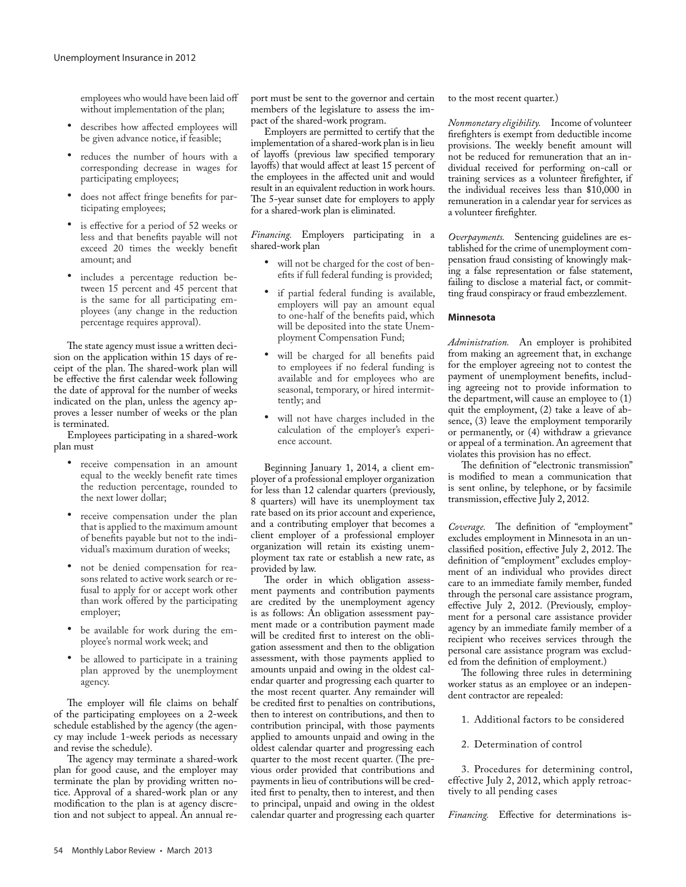employees who would have been laid off without implementation of the plan;

- describes how affected employees will be given advance notice, if feasible;
- • reduces the number of hours with a corresponding decrease in wages for participating employees;
- does not affect fringe benefits for participating employees;
- is effective for a period of 52 weeks or less and that benefits payable will not exceed 20 times the weekly benefit amount; and
- • includes a percentage reduction between 15 percent and 45 percent that is the same for all participating employees (any change in the reduction percentage requires approval).

The state agency must issue a written decision on the application within 15 days of receipt of the plan. The shared-work plan will be effective the first calendar week following the date of approval for the number of weeks indicated on the plan, unless the agency approves a lesser number of weeks or the plan is terminated.

Employees participating in a shared-work plan must

- receive compensation in an amount equal to the weekly benefit rate times the reduction percentage, rounded to the next lower dollar;
- receive compensation under the plan that is applied to the maximum amount of benefits payable but not to the individual's maximum duration of weeks;
- not be denied compensation for reasons related to active work search or refusal to apply for or accept work other than work offered by the participating employer;
- be available for work during the employee's normal work week; and
- be allowed to participate in a training plan approved by the unemployment agency.

The employer will file claims on behalf of the participating employees on a 2-week schedule established by the agency (the agency may include 1-week periods as necessary and revise the schedule).

The agency may terminate a shared-work plan for good cause, and the employer may terminate the plan by providing written notice. Approval of a shared-work plan or any modification to the plan is at agency discretion and not subject to appeal. An annual report must be sent to the governor and certain members of the legislature to assess the impact of the shared-work program.

Employers are permitted to certify that the implementation of a shared-work plan is in lieu of layoffs (previous law specified temporary layoffs) that would affect at least 15 percent of the employees in the affected unit and would result in an equivalent reduction in work hours. The 5-year sunset date for employers to apply for a shared-work plan is eliminated.

*Financing.* Employers participating in a shared-work plan

- • will not be charged for the cost of benefits if full federal funding is provided;
- • if partial federal funding is available, employers will pay an amount equal to one-half of the benefits paid, which will be deposited into the state Unemployment Compensation Fund;
- will be charged for all benefits paid to employees if no federal funding is available and for employees who are seasonal, temporary, or hired intermittently; and
- will not have charges included in the calculation of the employer's experience account.

Beginning January 1, 2014, a client employer of a professional employer organization for less than 12 calendar quarters (previously, 8 quarters) will have its unemployment tax rate based on its prior account and experience, and a contributing employer that becomes a client employer of a professional employer organization will retain its existing unemployment tax rate or establish a new rate, as provided by law.

The order in which obligation assessment payments and contribution payments are credited by the unemployment agency is as follows: An obligation assessment payment made or a contribution payment made will be credited first to interest on the obligation assessment and then to the obligation assessment, with those payments applied to amounts unpaid and owing in the oldest calendar quarter and progressing each quarter to the most recent quarter. Any remainder will be credited first to penalties on contributions, then to interest on contributions, and then to contribution principal, with those payments applied to amounts unpaid and owing in the oldest calendar quarter and progressing each quarter to the most recent quarter. (The previous order provided that contributions and payments in lieu of contributions will be credited first to penalty, then to interest, and then to principal, unpaid and owing in the oldest calendar quarter and progressing each quarter

to the most recent quarter.)

*Nonmonetary eligibility.* Income of volunteer firefighters is exempt from deductible income provisions. The weekly benefit amount will not be reduced for remuneration that an individual received for performing on-call or training services as a volunteer firefighter, if the individual receives less than \$10,000 in remuneration in a calendar year for services as a volunteer firefighter.

*Overpayments.* Sentencing guidelines are established for the crime of unemployment compensation fraud consisting of knowingly making a false representation or false statement, failing to disclose a material fact, or committing fraud conspiracy or fraud embezzlement.

#### **Minnesota**

*Administration.* An employer is prohibited from making an agreement that, in exchange for the employer agreeing not to contest the payment of unemployment benefits, including agreeing not to provide information to the department, will cause an employee to (1) quit the employment, (2) take a leave of absence, (3) leave the employment temporarily or permanently, or (4) withdraw a grievance or appeal of a termination. An agreement that violates this provision has no effect.

The definition of "electronic transmission" is modified to mean a communication that is sent online, by telephone, or by facsimile transmission, effective July 2, 2012.

*Coverage.* The definition of "employment" excludes employment in Minnesota in an unclassified position, effective July 2, 2012. The definition of "employment" excludes employment of an individual who provides direct care to an immediate family member, funded through the personal care assistance program, effective July 2, 2012. (Previously, employment for a personal care assistance provider agency by an immediate family member of a recipient who receives services through the personal care assistance program was excluded from the definition of employment.)

The following three rules in determining worker status as an employee or an independent contractor are repealed:

1. Additional factors to be considered

2. Determination of control

3. Procedures for determining control, effective July 2, 2012, which apply retroactively to all pending cases

*Financing.* Effective for determinations is-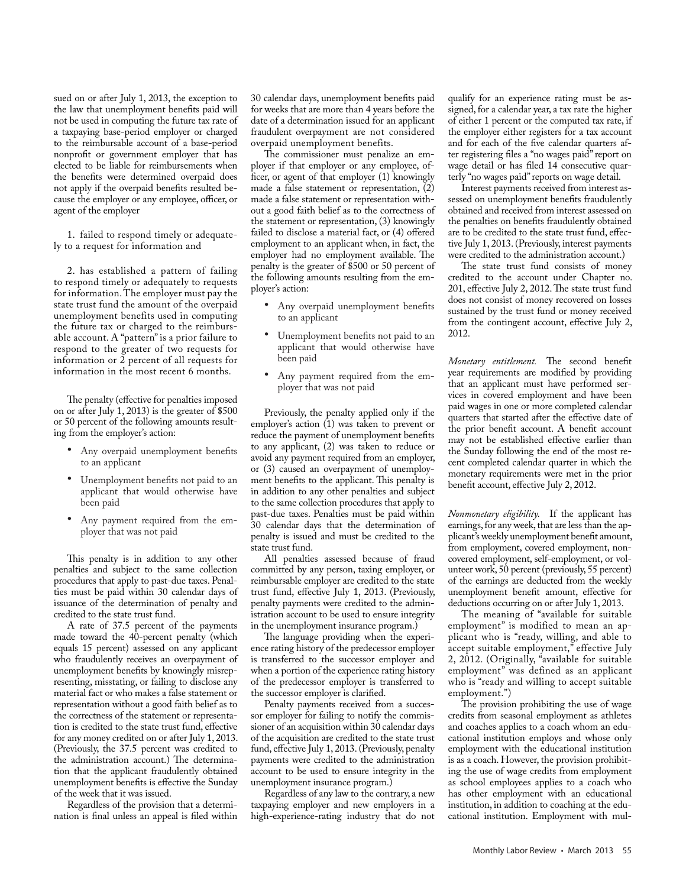sued on or after July 1, 2013, the exception to the law that unemployment benefits paid will not be used in computing the future tax rate of a taxpaying base-period employer or charged to the reimbursable account of a base-period nonprofit or government employer that has elected to be liable for reimbursements when the benefits were determined overpaid does not apply if the overpaid benefits resulted because the employer or any employee, officer, or agent of the employer

1. failed to respond timely or adequately to a request for information and

2. has established a pattern of failing to respond timely or adequately to requests for information. The employer must pay the state trust fund the amount of the overpaid unemployment benefits used in computing the future tax or charged to the reimbursable account. A "pattern" is a prior failure to respond to the greater of two requests for information or 2 percent of all requests for information in the most recent 6 months.

The penalty (effective for penalties imposed on or after July 1, 2013) is the greater of \$500 or 50 percent of the following amounts resulting from the employer's action:

- • Any overpaid unemployment benefits to an applicant
- • Unemployment benefits not paid to an applicant that would otherwise have been paid
- Any payment required from the employer that was not paid

This penalty is in addition to any other penalties and subject to the same collection procedures that apply to past-due taxes. Penalties must be paid within 30 calendar days of issuance of the determination of penalty and credited to the state trust fund.

A rate of 37.5 percent of the payments made toward the 40-percent penalty (which equals 15 percent) assessed on any applicant who fraudulently receives an overpayment of unemployment benefits by knowingly misrepresenting, misstating, or failing to disclose any material fact or who makes a false statement or representation without a good faith belief as to the correctness of the statement or representation is credited to the state trust fund, effective for any money credited on or after July 1, 2013. (Previously, the 37.5 percent was credited to the administration account.) The determination that the applicant fraudulently obtained unemployment benefits is effective the Sunday of the week that it was issued.

Regardless of the provision that a determination is final unless an appeal is filed within 30 calendar days, unemployment benefits paid for weeks that are more than 4 years before the date of a determination issued for an applicant fraudulent overpayment are not considered overpaid unemployment benefits.

The commissioner must penalize an employer if that employer or any employee, officer, or agent of that employer (1) knowingly made a false statement or representation, (2) made a false statement or representation without a good faith belief as to the correctness of the statement or representation, (3) knowingly failed to disclose a material fact, or (4) offered employment to an applicant when, in fact, the employer had no employment available. The penalty is the greater of \$500 or 50 percent of the following amounts resulting from the employer's action:

- Any overpaid unemployment benefits to an applicant
- • Unemployment benefits not paid to an applicant that would otherwise have been paid
- Any payment required from the employer that was not paid

Previously, the penalty applied only if the employer's action (1) was taken to prevent or reduce the payment of unemployment benefits to any applicant, (2) was taken to reduce or avoid any payment required from an employer, or (3) caused an overpayment of unemployment benefits to the applicant. This penalty is in addition to any other penalties and subject to the same collection procedures that apply to past-due taxes. Penalties must be paid within 30 calendar days that the determination of penalty is issued and must be credited to the state trust fund.

All penalties assessed because of fraud committed by any person, taxing employer, or reimbursable employer are credited to the state trust fund, effective July 1, 2013. (Previously, penalty payments were credited to the administration account to be used to ensure integrity in the unemployment insurance program.)

The language providing when the experience rating history of the predecessor employer is transferred to the successor employer and when a portion of the experience rating history of the predecessor employer is transferred to the successor employer is clarified.

Penalty payments received from a successor employer for failing to notify the commissioner of an acquisition within 30 calendar days of the acquisition are credited to the state trust fund, effective July 1, 2013. (Previously, penalty payments were credited to the administration account to be used to ensure integrity in the unemployment insurance program.)

Regardless of any law to the contrary, a new taxpaying employer and new employers in a high-experience-rating industry that do not

qualify for an experience rating must be assigned, for a calendar year, a tax rate the higher of either 1 percent or the computed tax rate, if the employer either registers for a tax account and for each of the five calendar quarters after registering files a "no wages paid" report on wage detail or has filed 14 consecutive quarterly "no wages paid" reports on wage detail.

Interest payments received from interest assessed on unemployment benefits fraudulently obtained and received from interest assessed on the penalties on benefits fraudulently obtained are to be credited to the state trust fund, effective July 1, 2013. (Previously, interest payments were credited to the administration account.)

The state trust fund consists of money credited to the account under Chapter no. 201, effective July 2, 2012. The state trust fund does not consist of money recovered on losses sustained by the trust fund or money received from the contingent account, effective July 2, 2012.

*Monetary entitlement.* The second benefit year requirements are modified by providing that an applicant must have performed services in covered employment and have been paid wages in one or more completed calendar quarters that started after the effective date of the prior benefit account. A benefit account may not be established effective earlier than the Sunday following the end of the most recent completed calendar quarter in which the monetary requirements were met in the prior benefit account, effective July 2, 2012.

*Nonmonetary eligibility.* If the applicant has earnings, for any week, that are less than the applicant's weekly unemployment benefit amount, from employment, covered employment, noncovered employment, self-employment, or volunteer work, 50 percent (previously, 55 percent) of the earnings are deducted from the weekly unemployment benefit amount, effective for deductions occurring on or after July 1, 2013.

The meaning of "available for suitable employment" is modified to mean an applicant who is "ready, willing, and able to accept suitable employment," effective July 2, 2012. (Originally, "available for suitable employment" was defined as an applicant who is "ready and willing to accept suitable employment.")

The provision prohibiting the use of wage credits from seasonal employment as athletes and coaches applies to a coach whom an educational institution employs and whose only employment with the educational institution is as a coach. However, the provision prohibiting the use of wage credits from employment as school employees applies to a coach who has other employment with an educational institution, in addition to coaching at the educational institution. Employment with mul-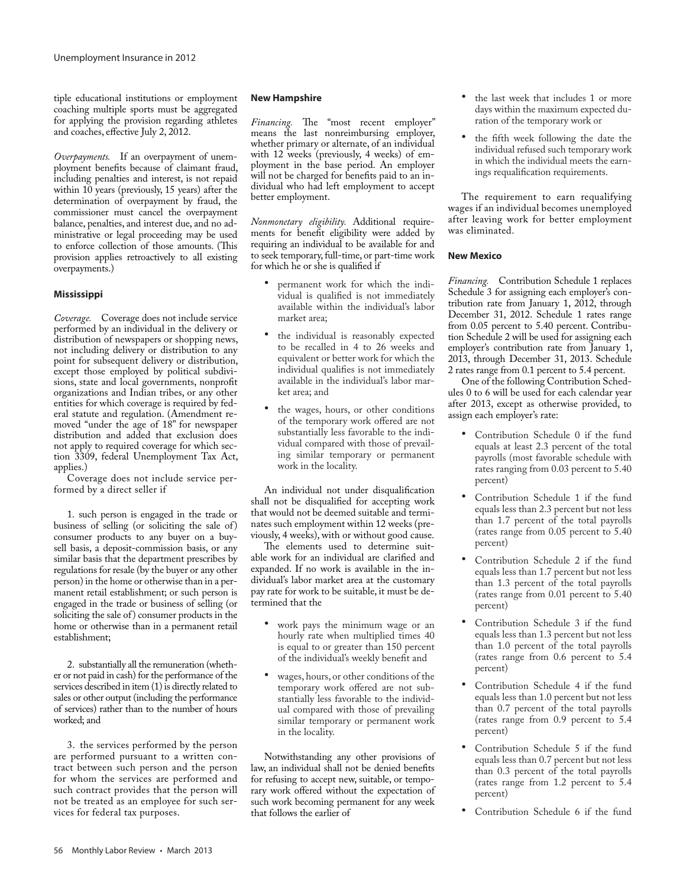tiple educational institutions or employment coaching multiple sports must be aggregated for applying the provision regarding athletes and coaches, effective July 2, 2012.

*Overpayments.* If an overpayment of unemployment benefits because of claimant fraud, including penalties and interest, is not repaid within 10 years (previously, 15 years) after the determination of overpayment by fraud, the commissioner must cancel the overpayment balance, penalties, and interest due, and no administrative or legal proceeding may be used to enforce collection of those amounts. (This provision applies retroactively to all existing overpayments.)

# **Mississippi**

*Coverage.* Coverage does not include service performed by an individual in the delivery or distribution of newspapers or shopping news, not including delivery or distribution to any point for subsequent delivery or distribution, except those employed by political subdivisions, state and local governments, nonprofit organizations and Indian tribes, or any other entities for which coverage is required by federal statute and regulation. (Amendment removed "under the age of 18" for newspaper distribution and added that exclusion does not apply to required coverage for which section 3309, federal Unemployment Tax Act, applies.)

Coverage does not include service performed by a direct seller if

1. such person is engaged in the trade or business of selling (or soliciting the sale of) consumer products to any buyer on a buysell basis, a deposit-commission basis, or any similar basis that the department prescribes by regulations for resale (by the buyer or any other person) in the home or otherwise than in a permanent retail establishment; or such person is engaged in the trade or business of selling (or soliciting the sale of) consumer products in the home or otherwise than in a permanent retail establishment;

2. substantially all the remuneration (whether or not paid in cash) for the performance of the services described in item (1) is directly related to sales or other output (including the performance of services) rather than to the number of hours worked; and

3. the services performed by the person are performed pursuant to a written contract between such person and the person for whom the services are performed and such contract provides that the person will not be treated as an employee for such services for federal tax purposes.

#### **New Hampshire**

*Financing.* The "most recent employer" means the last nonreimbursing employer, whether primary or alternate, of an individual with 12 weeks (previously, 4 weeks) of employment in the base period. An employer will not be charged for benefits paid to an individual who had left employment to accept better employment.

*Nonmonetary eligibility.* Additional requirements for benefit eligibility were added by requiring an individual to be available for and to seek temporary, full-time, or part-time work for which he or she is qualified if

- permanent work for which the individual is qualified is not immediately available within the individual's labor market area;
- • the individual is reasonably expected to be recalled in 4 to 26 weeks and equivalent or better work for which the individual qualifies is not immediately available in the individual's labor market area; and
- the wages, hours, or other conditions of the temporary work offered are not substantially less favorable to the individual compared with those of prevailing similar temporary or permanent work in the locality.

An individual not under disqualification shall not be disqualified for accepting work that would not be deemed suitable and terminates such employment within 12 weeks (previously, 4 weeks), with or without good cause.

The elements used to determine suitable work for an individual are clarified and expanded. If no work is available in the individual's labor market area at the customary pay rate for work to be suitable, it must be determined that the

- work pays the minimum wage or an hourly rate when multiplied times 40 is equal to or greater than 150 percent of the individual's weekly benefit and
- wages, hours, or other conditions of the temporary work offered are not substantially less favorable to the individual compared with those of prevailing similar temporary or permanent work in the locality.

Notwithstanding any other provisions of law, an individual shall not be denied benefits for refusing to accept new, suitable, or temporary work offered without the expectation of such work becoming permanent for any week that follows the earlier of

- the last week that includes 1 or more days within the maximum expected duration of the temporary work or
- the fifth week following the date the individual refused such temporary work in which the individual meets the earnings requalification requirements.

The requirement to earn requalifying wages if an individual becomes unemployed after leaving work for better employment was eliminated.

#### **New Mexico**

*Financing.* Contribution Schedule 1 replaces Schedule 3 for assigning each employer's contribution rate from January 1, 2012, through December 31, 2012. Schedule 1 rates range from 0.05 percent to 5.40 percent. Contribution Schedule 2 will be used for assigning each employer's contribution rate from January 1, 2013, through December 31, 2013. Schedule 2 rates range from 0.1 percent to 5.4 percent.

One of the following Contribution Schedules 0 to 6 will be used for each calendar year after 2013, except as otherwise provided, to assign each employer's rate:

- Contribution Schedule 0 if the fund equals at least 2.3 percent of the total payrolls (most favorable schedule with rates ranging from 0.03 percent to 5.40 percent)
- Contribution Schedule 1 if the fund equals less than 2.3 percent but not less than 1.7 percent of the total payrolls (rates range from 0.05 percent to 5.40 percent)
- • Contribution Schedule 2 if the fund equals less than 1.7 percent but not less than 1.3 percent of the total payrolls (rates range from 0.01 percent to 5.40 percent)
- • Contribution Schedule 3 if the fund equals less than 1.3 percent but not less than 1.0 percent of the total payrolls (rates range from 0.6 percent to 5.4 percent)
- Contribution Schedule 4 if the fund equals less than 1.0 percent but not less than 0.7 percent of the total payrolls (rates range from 0.9 percent to 5.4 percent)
- Contribution Schedule 5 if the fund equals less than 0.7 percent but not less than 0.3 percent of the total payrolls (rates range from 1.2 percent to 5.4 percent)
- Contribution Schedule 6 if the fund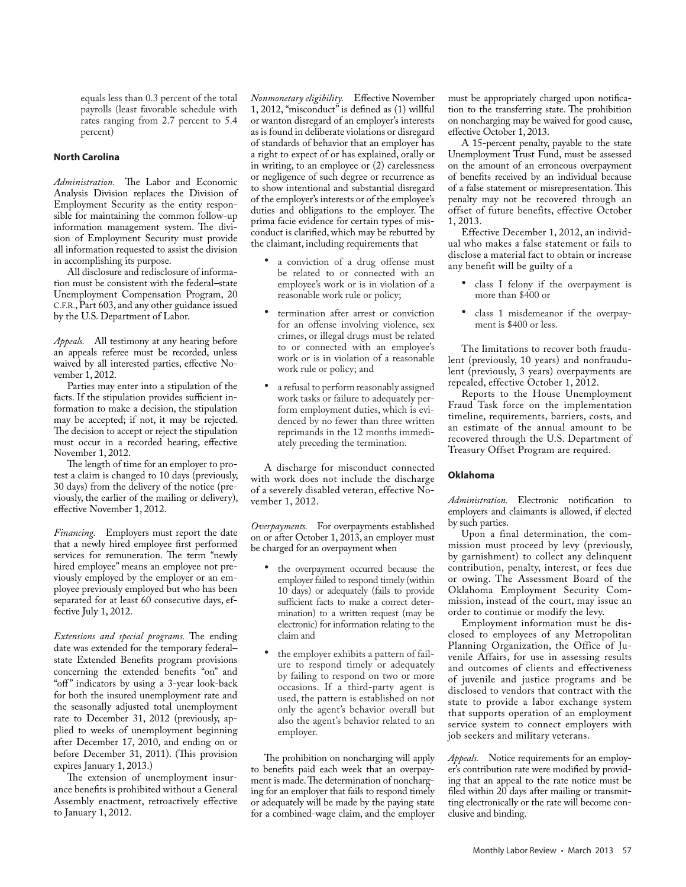equals less than 0.3 percent of the total payrolls (least favorable schedule with rates ranging from 2.7 percent to 5.4 percent)

# **North Carolina**

*Administration.* The Labor and Economic Analysis Division replaces the Division of Employment Security as the entity responsible for maintaining the common follow-up information management system. The division of Employment Security must provide all information requested to assist the division in accomplishing its purpose.

All disclosure and redisclosure of information must be consistent with the federal–state Unemployment Compensation Program, 20 C.F.R., Part 603, and any other guidance issued by the U.S. Department of Labor.

*Appeals.* All testimony at any hearing before an appeals referee must be recorded, unless waived by all interested parties, effective November 1, 2012.

Parties may enter into a stipulation of the facts. If the stipulation provides sufficient information to make a decision, the stipulation may be accepted; if not, it may be rejected. The decision to accept or reject the stipulation must occur in a recorded hearing, effective November 1, 2012.

The length of time for an employer to protest a claim is changed to 10 days (previously, 30 days) from the delivery of the notice (previously, the earlier of the mailing or delivery), effective November 1, 2012.

*Financing.* Employers must report the date that a newly hired employee first performed services for remuneration. The term "newly hired employee" means an employee not previously employed by the employer or an employee previously employed but who has been separated for at least 60 consecutive days, effective July 1, 2012.

*Extensions and special programs.* The ending date was extended for the temporary federal– state Extended Benefits program provisions concerning the extended benefits "on" and "off" indicators by using a 3-year look-back for both the insured unemployment rate and the seasonally adjusted total unemployment rate to December 31, 2012 (previously, applied to weeks of unemployment beginning after December 17, 2010, and ending on or before December 31, 2011). (This provision expires January 1, 2013.)

The extension of unemployment insurance benefits is prohibited without a General Assembly enactment, retroactively effective to January 1, 2012.

*Nonmonetary eligibility.* Effective November 1, 2012, "misconduct" is defined as (1) willful or wanton disregard of an employer's interests as is found in deliberate violations or disregard of standards of behavior that an employer has a right to expect of or has explained, orally or in writing, to an employee or (2) carelessness or negligence of such degree or recurrence as to show intentional and substantial disregard of the employer's interests or of the employee's duties and obligations to the employer. The prima facie evidence for certain types of misconduct is clarified, which may be rebutted by the claimant, including requirements that

- a conviction of a drug offense must be related to or connected with an employee's work or is in violation of a reasonable work rule or policy;
- termination after arrest or conviction for an offense involving violence, sex crimes, or illegal drugs must be related to or connected with an employee's work or is in violation of a reasonable work rule or policy; and
- a refusal to perform reasonably assigned work tasks or failure to adequately perform employment duties, which is evidenced by no fewer than three written reprimands in the 12 months immediately preceding the termination.

A discharge for misconduct connected with work does not include the discharge of a severely disabled veteran, effective November 1, 2012.

*Overpayments.* For overpayments established on or after October 1, 2013, an employer must be charged for an overpayment when

- the overpayment occurred because the employer failed to respond timely (within 10 days) or adequately (fails to provide sufficient facts to make a correct determination) to a written request (may be electronic) for information relating to the claim and
- the employer exhibits a pattern of failure to respond timely or adequately by failing to respond on two or more occasions. If a third-party agent is used, the pattern is established on not only the agent's behavior overall but also the agent's behavior related to an employer.

The prohibition on noncharging will apply to benefits paid each week that an overpayment is made. The determination of noncharging for an employer that fails to respond timely or adequately will be made by the paying state for a combined-wage claim, and the employer

must be appropriately charged upon notification to the transferring state. The prohibition on noncharging may be waived for good cause, effective October 1, 2013.

A 15-percent penalty, payable to the state Unemployment Trust Fund, must be assessed on the amount of an erroneous overpayment of benefits received by an individual because of a false statement or misrepresentation. This penalty may not be recovered through an offset of future benefits, effective October 1, 2013.

Effective December 1, 2012, an individual who makes a false statement or fails to disclose a material fact to obtain or increase any benefit will be guilty of a

- class I felony if the overpayment is more than \$400 or
- • class 1 misdemeanor if the overpayment is \$400 or less.

The limitations to recover both fraudulent (previously, 10 years) and nonfraudulent (previously, 3 years) overpayments are repealed, effective October 1, 2012.

Reports to the House Unemployment Fraud Task force on the implementation timeline, requirements, barriers, costs, and an estimate of the annual amount to be recovered through the U.S. Department of Treasury Offset Program are required.

# **Oklahoma**

*Administration.* Electronic notification to employers and claimants is allowed, if elected by such parties.

Upon a final determination, the commission must proceed by levy (previously, by garnishment) to collect any delinquent contribution, penalty, interest, or fees due or owing. The Assessment Board of the Oklahoma Employment Security Commission, instead of the court, may issue an order to continue or modify the levy.

Employment information must be disclosed to employees of any Metropolitan Planning Organization, the Office of Juvenile Affairs, for use in assessing results and outcomes of clients and effectiveness of juvenile and justice programs and be disclosed to vendors that contract with the state to provide a labor exchange system that supports operation of an employment service system to connect employers with job seekers and military veterans.

*Appeals.* Notice requirements for an employer's contribution rate were modified by providing that an appeal to the rate notice must be filed within 20 days after mailing or transmitting electronically or the rate will become conclusive and binding.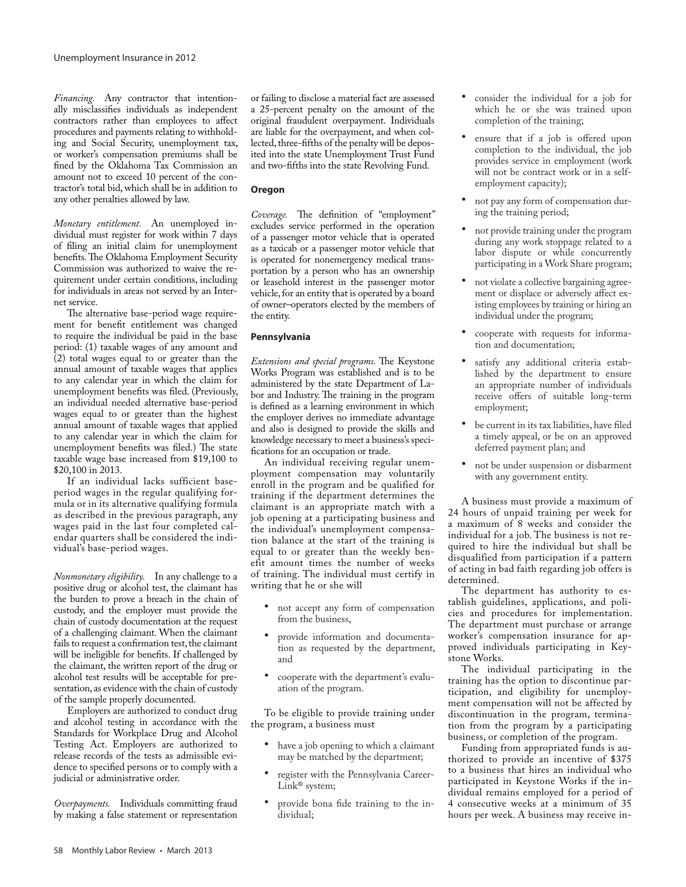*Financing.* Any contractor that intentionally misclassifies individuals as independent contractors rather than employees to affect procedures and payments relating to withholding and Social Security, unemployment tax, or worker's compensation premiums shall be fined by the Oklahoma Tax Commission an amount not to exceed 10 percent of the contractor's total bid, which shall be in addition to any other penalties allowed by law.

*Monetary entitlement.* An unemployed individual must register for work within 7 days of filing an initial claim for unemployment benefits. The Oklahoma Employment Security Commission was authorized to waive the requirement under certain conditions, including for individuals in areas not served by an Internet service.

The alternative base-period wage requirement for benefit entitlement was changed to require the individual be paid in the base period: (1) taxable wages of any amount and  $(2)$  total wages equal to or greater than the annual amount of taxable wages that applies to any calendar year in which the claim for unemployment benefits was filed. (Previously, an individual needed alternative base-period wages equal to or greater than the highest annual amount of taxable wages that applied to any calendar year in which the claim for unemployment benefits was filed.) The state taxable wage base increased from \$19,100 to \$20,100 in 2013.

If an individual lacks sufficient baseperiod wages in the regular qualifying formula or in its alternative qualifying formula as described in the previous paragraph, any wages paid in the last four completed calendar quarters shall be considered the individual's base-period wages.

*Nonmonetary eligibility.* In any challenge to a positive drug or alcohol test, the claimant has the burden to prove a breach in the chain of custody, and the employer must provide the chain of custody documentation at the request of a challenging claimant. When the claimant fails to request a confirmation test, the claimant will be ineligible for benefits. If challenged by the claimant, the written report of the drug or alcohol test results will be acceptable for presentation, as evidence with the chain of custody of the sample properly documented.

Employers are authorized to conduct drug and alcohol testing in accordance with the Standards for Workplace Drug and Alcohol Testing Act. Employers are authorized to release records of the tests as admissible evidence to specified persons or to comply with a judicial or administrative order.

*Overpayments.* Individuals committing fraud by making a false statement or representation

or failing to disclose a material fact are assessed a 25-percent penalty on the amount of the original fraudulent overpayment. Individuals are liable for the overpayment, and when collected, three-fifths of the penalty will be deposited into the state Unemployment Trust Fund and two-fifths into the state Revolving Fund.

# **Oregon**

*Coverage.* The definition of "employment" excludes service performed in the operation of a passenger motor vehicle that is operated as a taxicab or a passenger motor vehicle that is operated for nonemergency medical transportation by a person who has an ownership or leasehold interest in the passenger motor vehicle, for an entity that is operated by a board of owner–operators elected by the members of the entity.

# **Pennsylvania**

*Extensions and special programs.* The Keystone Works Program was established and is to be administered by the state Department of Labor and Industry. The training in the program is defined as a learning environment in which the employer derives no immediate advantage and also is designed to provide the skills and knowledge necessary to meet a business's specifications for an occupation or trade.

An individual receiving regular unemployment compensation may voluntarily enroll in the program and be qualified for training if the department determines the claimant is an appropriate match with a job opening at a participating business and the individual's unemployment compensation balance at the start of the training is equal to or greater than the weekly benefit amount times the number of weeks of training. The individual must certify in writing that he or she will

- • not accept any form of compensation from the business,
- provide information and documentation as requested by the department, and
- cooperate with the department's evaluation of the program.

To be eligible to provide training under the program, a business must

- have a job opening to which a claimant may be matched by the department;
- register with the Pennsylvania Career-Link<sup>®</sup> system;
- provide bona fide training to the individual;
- consider the individual for a job for which he or she was trained upon completion of the training;
- ensure that if a job is offered upon completion to the individual, the job provides service in employment (work will not be contract work or in a selfemployment capacity);
- not pay any form of compensation during the training period;
- not provide training under the program during any work stoppage related to a labor dispute or while concurrently participating in a Work Share program;
- not violate a collective bargaining agreement or displace or adversely affect existing employees by training or hiring an individual under the program;
- cooperate with requests for information and documentation;
- satisfy any additional criteria established by the department to ensure an appropriate number of individuals receive offers of suitable long-term employment;
- be current in its tax liabilities, have filed a timely appeal, or be on an approved deferred payment plan; and
- not be under suspension or disbarment with any government entity.

A business must provide a maximum of 24 hours of unpaid training per week for a maximum of 8 weeks and consider the individual for a job. The business is not required to hire the individual but shall be disqualified from participation if a pattern of acting in bad faith regarding job offers is determined.

The department has authority to establish guidelines, applications, and policies and procedures for implementation. The department must purchase or arrange worker's compensation insurance for approved individuals participating in Keystone Works.

The individual participating in the training has the option to discontinue participation, and eligibility for unemployment compensation will not be affected by discontinuation in the program, termination from the program by a participating business, or completion of the program.

Funding from appropriated funds is authorized to provide an incentive of \$375 to a business that hires an individual who participated in Keystone Works if the individual remains employed for a period of 4 consecutive weeks at a minimum of 35 hours per week. A business may receive in-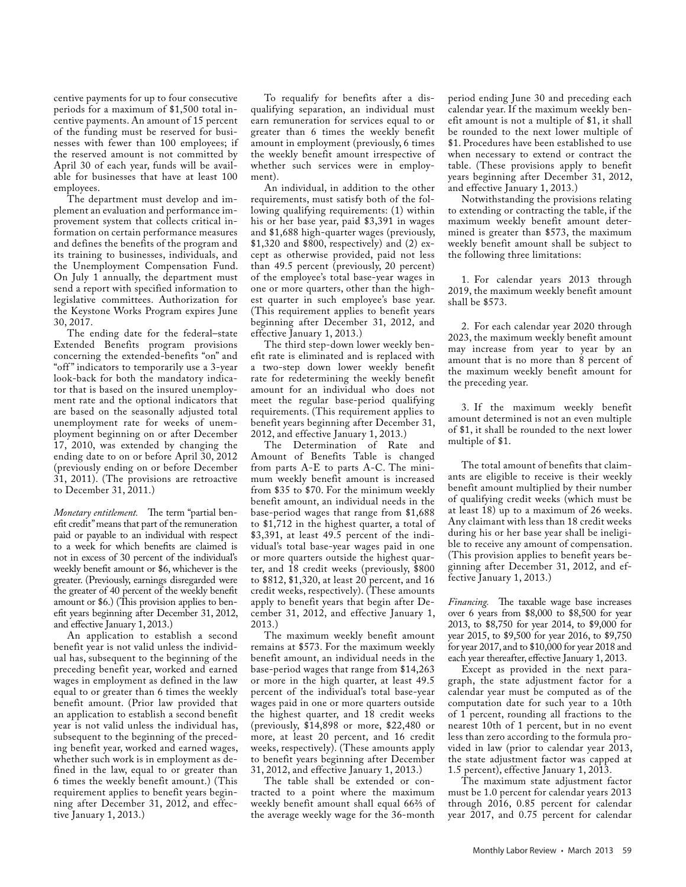centive payments for up to four consecutive periods for a maximum of \$1,500 total incentive payments. An amount of 15 percent of the funding must be reserved for businesses with fewer than 100 employees; if the reserved amount is not committed by April 30 of each year, funds will be available for businesses that have at least 100 employees.

The department must develop and implement an evaluation and performance improvement system that collects critical information on certain performance measures and defines the benefits of the program and its training to businesses, individuals, and the Unemployment Compensation Fund. On July 1 annually, the department must send a report with specified information to legislative committees. Authorization for the Keystone Works Program expires June 30, 2017.

The ending date for the federal–state Extended Benefits program provisions concerning the extended-benefits "on" and "off " indicators to temporarily use a 3-year look-back for both the mandatory indicator that is based on the insured unemployment rate and the optional indicators that are based on the seasonally adjusted total unemployment rate for weeks of unemployment beginning on or after December 17, 2010, was extended by changing the ending date to on or before April 30, 2012 (previously ending on or before December 31, 2011). (The provisions are retroactive to December 31, 2011.)

*Monetary entitlement.* The term "partial benefit credit" means that part of the remuneration paid or payable to an individual with respect to a week for which benefits are claimed is not in excess of 30 percent of the individual's weekly benefit amount or \$6, whichever is the greater. (Previously, earnings disregarded were the greater of 40 percent of the weekly benefit amount or \$6.) (This provision applies to benefit years beginning after December 31, 2012, and effective January 1, 2013.)

An application to establish a second benefit year is not valid unless the individual has, subsequent to the beginning of the preceding benefit year, worked and earned wages in employment as defined in the law equal to or greater than 6 times the weekly benefit amount. (Prior law provided that an application to establish a second benefit year is not valid unless the individual has, subsequent to the beginning of the preceding benefit year, worked and earned wages, whether such work is in employment as defined in the law, equal to or greater than 6 times the weekly benefit amount.) (This requirement applies to benefit years beginning after December 31, 2012, and effective January 1, 2013.)

To requalify for benefits after a disqualifying separation, an individual must earn remuneration for services equal to or greater than 6 times the weekly benefit amount in employment (previously, 6 times the weekly benefit amount irrespective of whether such services were in employment).

An individual, in addition to the other requirements, must satisfy both of the following qualifying requirements: (1) within his or her base year, paid \$3,391 in wages and \$1,688 high-quarter wages (previously, \$1,320 and \$800, respectively) and (2) except as otherwise provided, paid not less than 49.5 percent (previously, 20 percent) of the employee's total base-year wages in one or more quarters, other than the highest quarter in such employee's base year. (This requirement applies to benefit years beginning after December 31, 2012, and effective January 1, 2013.)

The third step-down lower weekly benefit rate is eliminated and is replaced with a two-step down lower weekly benefit rate for redetermining the weekly benefit amount for an individual who does not meet the regular base-period qualifying requirements. (This requirement applies to benefit years beginning after December 31, 2012, and effective January 1, 2013.)

The Determination of Rate and Amount of Benefits Table is changed from parts A-E to parts A-C. The minimum weekly benefit amount is increased from \$35 to \$70. For the minimum weekly benefit amount, an individual needs in the base-period wages that range from \$1,688 to \$1,712 in the highest quarter, a total of \$3,391, at least 49.5 percent of the individual's total base-year wages paid in one or more quarters outside the highest quarter, and 18 credit weeks (previously, \$800 to \$812, \$1,320, at least 20 percent, and 16 credit weeks, respectively). (These amounts apply to benefit years that begin after December 31, 2012, and effective January 1, 2013.)

The maximum weekly benefit amount remains at \$573. For the maximum weekly benefit amount, an individual needs in the base-period wages that range from \$14,263 or more in the high quarter, at least 49.5 percent of the individual's total base-year wages paid in one or more quarters outside the highest quarter, and 18 credit weeks (previously, \$14,898 or more, \$22,480 or more, at least 20 percent, and 16 credit weeks, respectively). (These amounts apply to benefit years beginning after December 31, 2012, and effective January 1, 2013.)

The table shall be extended or contracted to a point where the maximum weekly benefit amount shall equal 66⅔ of the average weekly wage for the 36-month

period ending June 30 and preceding each calendar year. If the maximum weekly benefit amount is not a multiple of \$1, it shall be rounded to the next lower multiple of \$1. Procedures have been established to use when necessary to extend or contract the table. (These provisions apply to benefit years beginning after December 31, 2012, and effective January 1, 2013.)

Notwithstanding the provisions relating to extending or contracting the table, if the maximum weekly benefit amount determined is greater than \$573, the maximum weekly benefit amount shall be subject to the following three limitations:

1. For calendar years 2013 through 2019, the maximum weekly benefit amount shall be \$573.

2. For each calendar year 2020 through 2023, the maximum weekly benefit amount may increase from year to year by an amount that is no more than 8 percent of the maximum weekly benefit amount for the preceding year.

3. If the maximum weekly benefit amount determined is not an even multiple of \$1, it shall be rounded to the next lower multiple of \$1.

The total amount of benefits that claimants are eligible to receive is their weekly benefit amount multiplied by their number of qualifying credit weeks (which must be at least 18) up to a maximum of 26 weeks. Any claimant with less than 18 credit weeks during his or her base year shall be ineligible to receive any amount of compensation. (This provision applies to benefit years beginning after December 31, 2012, and effective January 1, 2013.)

*Financing.* The taxable wage base increases over 6 years from \$8,000 to \$8,500 for year 2013, to \$8,750 for year 2014, to \$9,000 for year 2015, to \$9,500 for year 2016, to \$9,750 for year 2017, and to \$10,000 for year 2018 and each year thereafter, effective January 1, 2013.

Except as provided in the next paragraph, the state adjustment factor for a calendar year must be computed as of the computation date for such year to a 10th of 1 percent, rounding all fractions to the nearest 10th of 1 percent, but in no event less than zero according to the formula provided in law (prior to calendar year 2013, the state adjustment factor was capped at 1.5 percent), effective January 1, 2013.

The maximum state adjustment factor must be 1.0 percent for calendar years 2013 through 2016, 0.85 percent for calendar year 2017, and 0.75 percent for calendar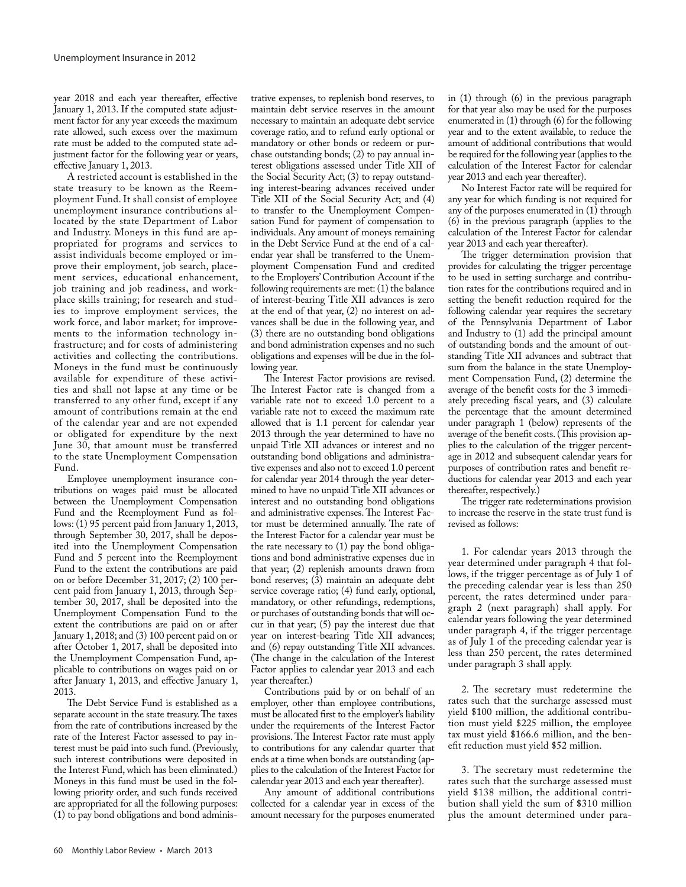year 2018 and each year thereafter, effective January 1, 2013. If the computed state adjustment factor for any year exceeds the maximum rate allowed, such excess over the maximum rate must be added to the computed state adjustment factor for the following year or years, effective January 1, 2013.

A restricted account is established in the state treasury to be known as the Reemployment Fund. It shall consist of employee unemployment insurance contributions allocated by the state Department of Labor and Industry. Moneys in this fund are appropriated for programs and services to assist individuals become employed or improve their employment, job search, placement services, educational enhancement, job training and job readiness, and workplace skills training; for research and studies to improve employment services, the work force, and labor market; for improvements to the information technology infrastructure; and for costs of administering activities and collecting the contributions. Moneys in the fund must be continuously available for expenditure of these activities and shall not lapse at any time or be transferred to any other fund, except if any amount of contributions remain at the end of the calendar year and are not expended or obligated for expenditure by the next June 30, that amount must be transferred to the state Unemployment Compensation Fund.

Employee unemployment insurance contributions on wages paid must be allocated between the Unemployment Compensation Fund and the Reemployment Fund as follows: (1) 95 percent paid from January 1, 2013, through September 30, 2017, shall be deposited into the Unemployment Compensation Fund and 5 percent into the Reemployment Fund to the extent the contributions are paid on or before December 31, 2017; (2) 100 percent paid from January 1, 2013, through September 30, 2017, shall be deposited into the Unemployment Compensation Fund to the extent the contributions are paid on or after January 1, 2018; and (3) 100 percent paid on or after October 1, 2017, shall be deposited into the Unemployment Compensation Fund, applicable to contributions on wages paid on or after January 1, 2013, and effective January 1, 2013.

The Debt Service Fund is established as a separate account in the state treasury. The taxes from the rate of contributions increased by the rate of the Interest Factor assessed to pay interest must be paid into such fund. (Previously, such interest contributions were deposited in the Interest Fund, which has been eliminated.) Moneys in this fund must be used in the following priority order, and such funds received are appropriated for all the following purposes: (1) to pay bond obligations and bond adminis-

trative expenses, to replenish bond reserves, to maintain debt service reserves in the amount necessary to maintain an adequate debt service coverage ratio, and to refund early optional or mandatory or other bonds or redeem or purchase outstanding bonds; (2) to pay annual interest obligations assessed under Title XII of the Social Security Act; (3) to repay outstanding interest-bearing advances received under Title XII of the Social Security Act; and (4) to transfer to the Unemployment Compensation Fund for payment of compensation to individuals. Any amount of moneys remaining in the Debt Service Fund at the end of a calendar year shall be transferred to the Unemployment Compensation Fund and credited to the Employers' Contribution Account if the following requirements are met: (1) the balance of interest-bearing Title XII advances is zero at the end of that year, (2) no interest on advances shall be due in the following year, and (3) there are no outstanding bond obligations and bond administration expenses and no such obligations and expenses will be due in the following year.

The Interest Factor provisions are revised. The Interest Factor rate is changed from a variable rate not to exceed 1.0 percent to a variable rate not to exceed the maximum rate allowed that is 1.1 percent for calendar year 2013 through the year determined to have no unpaid Title XII advances or interest and no outstanding bond obligations and administrative expenses and also not to exceed 1.0 percent for calendar year 2014 through the year determined to have no unpaid Title XII advances or interest and no outstanding bond obligations and administrative expenses. The Interest Factor must be determined annually. The rate of the Interest Factor for a calendar year must be the rate necessary to (1) pay the bond obligations and bond administrative expenses due in that year; (2) replenish amounts drawn from bond reserves; (3) maintain an adequate debt service coverage ratio; (4) fund early, optional, mandatory, or other refundings, redemptions, or purchases of outstanding bonds that will occur in that year; (5) pay the interest due that year on interest-bearing Title XII advances; and (6) repay outstanding Title XII advances. (The change in the calculation of the Interest Factor applies to calendar year 2013 and each year thereafter.)

Contributions paid by or on behalf of an employer, other than employee contributions, must be allocated first to the employer's liability under the requirements of the Interest Factor provisions. The Interest Factor rate must apply to contributions for any calendar quarter that ends at a time when bonds are outstanding (applies to the calculation of the Interest Factor for calendar year 2013 and each year thereafter).

Any amount of additional contributions collected for a calendar year in excess of the amount necessary for the purposes enumerated in (1) through (6) in the previous paragraph for that year also may be used for the purposes enumerated in (1) through (6) for the following year and to the extent available, to reduce the amount of additional contributions that would be required for the following year (applies to the calculation of the Interest Factor for calendar year 2013 and each year thereafter).

No Interest Factor rate will be required for any year for which funding is not required for any of the purposes enumerated in (1) through (6) in the previous paragraph (applies to the calculation of the Interest Factor for calendar year 2013 and each year thereafter).

The trigger determination provision that provides for calculating the trigger percentage to be used in setting surcharge and contribution rates for the contributions required and in setting the benefit reduction required for the following calendar year requires the secretary of the Pennsylvania Department of Labor and Industry to (1) add the principal amount of outstanding bonds and the amount of outstanding Title XII advances and subtract that sum from the balance in the state Unemployment Compensation Fund, (2) determine the average of the benefit costs for the 3 immediately preceding fiscal years, and (3) calculate the percentage that the amount determined under paragraph 1 (below) represents of the average of the benefit costs. (This provision applies to the calculation of the trigger percentage in 2012 and subsequent calendar years for purposes of contribution rates and benefit reductions for calendar year 2013 and each year thereafter, respectively.)

The trigger rate redeterminations provision to increase the reserve in the state trust fund is revised as follows:

1. For calendar years 2013 through the year determined under paragraph 4 that follows, if the trigger percentage as of July 1 of the preceding calendar year is less than 250 percent, the rates determined under paragraph 2 (next paragraph) shall apply. For calendar years following the year determined under paragraph 4, if the trigger percentage as of July 1 of the preceding calendar year is less than 250 percent, the rates determined under paragraph 3 shall apply.

2. The secretary must redetermine the rates such that the surcharge assessed must yield \$100 million, the additional contribution must yield \$225 million, the employee tax must yield \$166.6 million, and the benefit reduction must yield \$52 million.

3. The secretary must redetermine the rates such that the surcharge assessed must yield \$138 million, the additional contribution shall yield the sum of \$310 million plus the amount determined under para-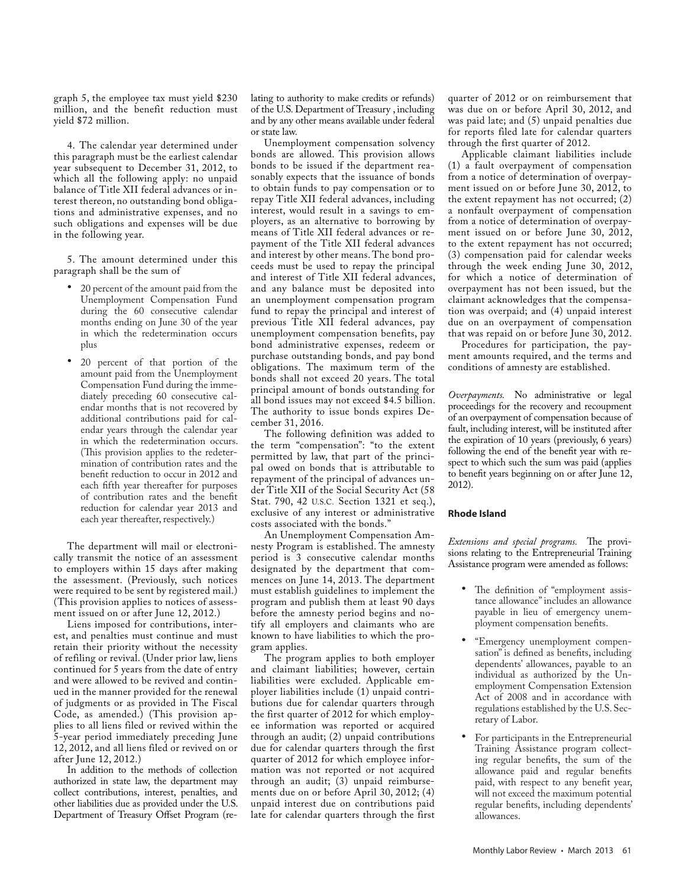graph 5, the employee tax must yield \$230 million, and the benefit reduction must yield \$72 million.

4. The calendar year determined under this paragraph must be the earliest calendar year subsequent to December 31, 2012, to which all the following apply: no unpaid balance of Title XII federal advances or interest thereon, no outstanding bond obligations and administrative expenses, and no such obligations and expenses will be due in the following year.

5. The amount determined under this paragraph shall be the sum of

- • 20 percent of the amount paid from the Unemployment Compensation Fund during the 60 consecutive calendar months ending on June 30 of the year in which the redetermination occurs plus
- • 20 percent of that portion of the amount paid from the Unemployment Compensation Fund during the immediately preceding 60 consecutive calendar months that is not recovered by additional contributions paid for calendar years through the calendar year in which the redetermination occurs. (This provision applies to the redetermination of contribution rates and the benefit reduction to occur in 2012 and each fifth year thereafter for purposes of contribution rates and the benefit reduction for calendar year 2013 and each year thereafter, respectively.)

The department will mail or electronically transmit the notice of an assessment to employers within 15 days after making the assessment. (Previously, such notices were required to be sent by registered mail.) (This provision applies to notices of assessment issued on or after June 12, 2012.)

Liens imposed for contributions, interest, and penalties must continue and must retain their priority without the necessity of refiling or revival. (Under prior law, liens continued for 5 years from the date of entry and were allowed to be revived and continued in the manner provided for the renewal of judgments or as provided in The Fiscal Code, as amended.) (This provision applies to all liens filed or revived within the 5-year period immediately preceding June 12, 2012, and all liens filed or revived on or after June 12, 2012.)

In addition to the methods of collection authorized in state law, the department may collect contributions, interest, penalties, and other liabilities due as provided under the U.S. Department of Treasury Offset Program (relating to authority to make credits or refunds) of the U.S. Department of Treasury , including and by any other means available under federal or state law.

Unemployment compensation solvency bonds are allowed. This provision allows bonds to be issued if the department reasonably expects that the issuance of bonds to obtain funds to pay compensation or to repay Title XII federal advances, including interest, would result in a savings to employers, as an alternative to borrowing by means of Title XII federal advances or repayment of the Title XII federal advances and interest by other means. The bond proceeds must be used to repay the principal and interest of Title XII federal advances, and any balance must be deposited into an unemployment compensation program fund to repay the principal and interest of previous Title XII federal advances, pay unemployment compensation benefits, pay bond administrative expenses, redeem or purchase outstanding bonds, and pay bond obligations. The maximum term of the bonds shall not exceed 20 years. The total principal amount of bonds outstanding for all bond issues may not exceed \$4.5 billion. The authority to issue bonds expires December 31, 2016.

The following definition was added to the term "compensation": "to the extent permitted by law, that part of the principal owed on bonds that is attributable to repayment of the principal of advances under Title XII of the Social Security Act (58 Stat. 790, 42 U.S.C. Section 1321 et seq.), exclusive of any interest or administrative costs associated with the bonds."

An Unemployment Compensation Amnesty Program is established. The amnesty period is 3 consecutive calendar months designated by the department that commences on June 14, 2013. The department must establish guidelines to implement the program and publish them at least 90 days before the amnesty period begins and notify all employers and claimants who are known to have liabilities to which the program applies.

The program applies to both employer and claimant liabilities; however, certain liabilities were excluded. Applicable employer liabilities include (1) unpaid contributions due for calendar quarters through the first quarter of 2012 for which employee information was reported or acquired through an audit; (2) unpaid contributions due for calendar quarters through the first quarter of 2012 for which employee information was not reported or not acquired through an audit; (3) unpaid reimbursements due on or before April 30, 2012; (4) unpaid interest due on contributions paid late for calendar quarters through the first quarter of 2012 or on reimbursement that was due on or before April 30, 2012, and was paid late; and (5) unpaid penalties due for reports filed late for calendar quarters through the first quarter of 2012.

Applicable claimant liabilities include (1) a fault overpayment of compensation from a notice of determination of overpayment issued on or before June 30, 2012, to the extent repayment has not occurred; (2) a nonfault overpayment of compensation from a notice of determination of overpayment issued on or before June 30, 2012, to the extent repayment has not occurred; (3) compensation paid for calendar weeks through the week ending June 30, 2012, for which a notice of determination of overpayment has not been issued, but the claimant acknowledges that the compensation was overpaid; and (4) unpaid interest due on an overpayment of compensation that was repaid on or before June 30, 2012.

Procedures for participation, the payment amounts required, and the terms and conditions of amnesty are established.

*Overpayments.* No administrative or legal proceedings for the recovery and recoupment of an overpayment of compensation because of fault, including interest, will be instituted after the expiration of 10 years (previously, 6 years) following the end of the benefit year with respect to which such the sum was paid (applies to benefit years beginning on or after June 12, 2012).

#### **Rhode Island**

*Extensions and special programs.* The provisions relating to the Entrepreneurial Training Assistance program were amended as follows:

- The definition of "employment assistance allowance" includes an allowance payable in lieu of emergency unemployment compensation benefits.
- • "Emergency unemployment compensation" is defined as benefits, including dependents' allowances, payable to an individual as authorized by the Unemployment Compensation Extension Act of 2008 and in accordance with regulations established by the U.S. Secretary of Labor.
- For participants in the Entrepreneurial Training Assistance program collecting regular benefits, the sum of the allowance paid and regular benefits paid, with respect to any benefit year, will not exceed the maximum potential regular benefits, including dependents' allowances.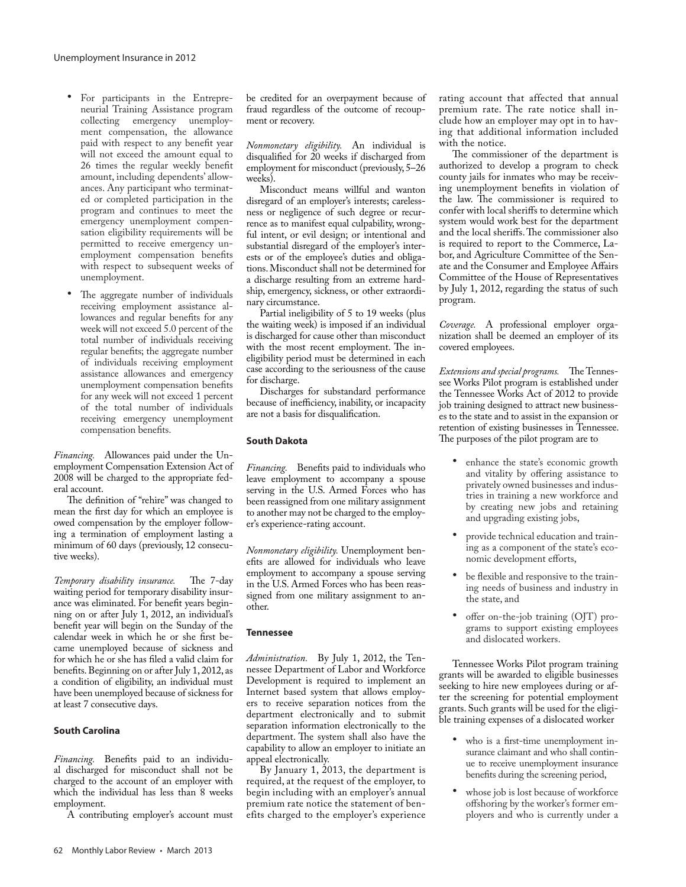- • For participants in the Entrepreneurial Training Assistance program collecting emergency unemployment compensation, the allowance paid with respect to any benefit year will not exceed the amount equal to 26 times the regular weekly benefit amount, including dependents' allowances. Any participant who terminated or completed participation in the program and continues to meet the emergency unemployment compensation eligibility requirements will be permitted to receive emergency unemployment compensation benefits with respect to subsequent weeks of unemployment.
- The aggregate number of individuals receiving employment assistance allowances and regular benefits for any week will not exceed 5.0 percent of the total number of individuals receiving regular benefits; the aggregate number of individuals receiving employment assistance allowances and emergency unemployment compensation benefits for any week will not exceed 1 percent of the total number of individuals receiving emergency unemployment compensation benefits.

*Financing.* Allowances paid under the Unemployment Compensation Extension Act of 2008 will be charged to the appropriate federal account.

The definition of "rehire" was changed to mean the first day for which an employee is owed compensation by the employer following a termination of employment lasting a minimum of 60 days (previously, 12 consecutive weeks).

*Temporary disability insurance.* The 7-day waiting period for temporary disability insurance was eliminated. For benefit years beginning on or after July 1, 2012, an individual's benefit year will begin on the Sunday of the calendar week in which he or she first became unemployed because of sickness and for which he or she has filed a valid claim for benefits. Beginning on or after July 1, 2012, as a condition of eligibility, an individual must have been unemployed because of sickness for at least 7 consecutive days.

#### **South Carolina**

*Financing.* Benefits paid to an individual discharged for misconduct shall not be charged to the account of an employer with which the individual has less than 8 weeks employment.

A contributing employer's account must

be credited for an overpayment because of fraud regardless of the outcome of recoupment or recovery.

*Nonmonetary eligibility.* An individual is disqualified for 20 weeks if discharged from employment for misconduct (previously, 5–26 weeks).

Misconduct means willful and wanton disregard of an employer's interests; carelessness or negligence of such degree or recurrence as to manifest equal culpability, wrongful intent, or evil design; or intentional and substantial disregard of the employer's interests or of the employee's duties and obligations. Misconduct shall not be determined for a discharge resulting from an extreme hardship, emergency, sickness, or other extraordinary circumstance.

Partial ineligibility of 5 to 19 weeks (plus the waiting week) is imposed if an individual is discharged for cause other than misconduct with the most recent employment. The ineligibility period must be determined in each case according to the seriousness of the cause for discharge.

Discharges for substandard performance because of inefficiency, inability, or incapacity are not a basis for disqualification.

#### **South Dakota**

*Financing.* Benefits paid to individuals who leave employment to accompany a spouse serving in the U.S. Armed Forces who has been reassigned from one military assignment to another may not be charged to the employer's experience-rating account.

*Nonmonetary eligibility.* Unemployment benefits are allowed for individuals who leave employment to accompany a spouse serving in the U.S. Armed Forces who has been reassigned from one military assignment to another.

#### **Tennessee**

*Administration.* By July 1, 2012, the Tennessee Department of Labor and Workforce Development is required to implement an Internet based system that allows employers to receive separation notices from the department electronically and to submit separation information electronically to the department. The system shall also have the capability to allow an employer to initiate an appeal electronically.

By January 1, 2013, the department is required, at the request of the employer, to begin including with an employer's annual premium rate notice the statement of benefits charged to the employer's experience rating account that affected that annual premium rate. The rate notice shall include how an employer may opt in to having that additional information included with the notice.

The commissioner of the department is authorized to develop a program to check county jails for inmates who may be receiving unemployment benefits in violation of the law. The commissioner is required to confer with local sheriffs to determine which system would work best for the department and the local sheriffs. The commissioner also is required to report to the Commerce, Labor, and Agriculture Committee of the Senate and the Consumer and Employee Affairs Committee of the House of Representatives by July 1, 2012, regarding the status of such program.

*Coverage.* A professional employer organization shall be deemed an employer of its covered employees.

*Extensions and special programs.* The Tennessee Works Pilot program is established under the Tennessee Works Act of 2012 to provide job training designed to attract new businesses to the state and to assist in the expansion or retention of existing businesses in Tennessee. The purposes of the pilot program are to

- enhance the state's economic growth and vitality by offering assistance to privately owned businesses and industries in training a new workforce and by creating new jobs and retaining and upgrading existing jobs,
- provide technical education and training as a component of the state's economic development efforts,
- be flexible and responsive to the training needs of business and industry in the state, and
- offer on-the-job training (OJT) programs to support existing employees and dislocated workers.

Tennessee Works Pilot program training grants will be awarded to eligible businesses seeking to hire new employees during or after the screening for potential employment grants. Such grants will be used for the eligible training expenses of a dislocated worker

- who is a first-time unemployment insurance claimant and who shall continue to receive unemployment insurance benefits during the screening period,
- whose job is lost because of workforce offshoring by the worker's former employers and who is currently under a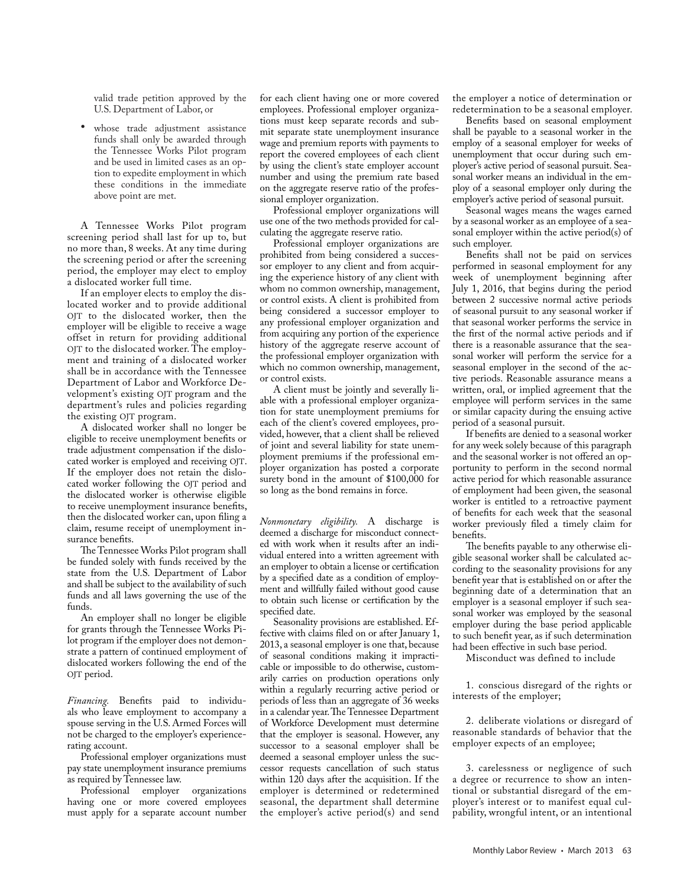valid trade petition approved by the U.S. Department of Labor, or

whose trade adjustment assistance funds shall only be awarded through the Tennessee Works Pilot program and be used in limited cases as an option to expedite employment in which these conditions in the immediate above point are met.

A Tennessee Works Pilot program screening period shall last for up to, but no more than, 8 weeks. At any time during the screening period or after the screening period, the employer may elect to employ a dislocated worker full time.

If an employer elects to employ the dislocated worker and to provide additional OJT to the dislocated worker, then the employer will be eligible to receive a wage offset in return for providing additional OJT to the dislocated worker. The employment and training of a dislocated worker shall be in accordance with the Tennessee Department of Labor and Workforce Development's existing OJT program and the department's rules and policies regarding the existing OJT program.

A dislocated worker shall no longer be eligible to receive unemployment benefits or trade adjustment compensation if the dislocated worker is employed and receiving OJT. If the employer does not retain the dislocated worker following the OJT period and the dislocated worker is otherwise eligible to receive unemployment insurance benefits, then the dislocated worker can, upon filing a claim, resume receipt of unemployment insurance benefits.

The Tennessee Works Pilot program shall be funded solely with funds received by the state from the U.S. Department of Labor and shall be subject to the availability of such funds and all laws governing the use of the funds.

An employer shall no longer be eligible for grants through the Tennessee Works Pilot program if the employer does not demonstrate a pattern of continued employment of dislocated workers following the end of the OJT period.

*Financing.* Benefits paid to individuals who leave employment to accompany a spouse serving in the U.S. Armed Forces will not be charged to the employer's experiencerating account.

Professional employer organizations must pay state unemployment insurance premiums as required by Tennessee law.

Professional employer organizations having one or more covered employees must apply for a separate account number

for each client having one or more covered employees. Professional employer organizations must keep separate records and submit separate state unemployment insurance wage and premium reports with payments to report the covered employees of each client by using the client's state employer account number and using the premium rate based on the aggregate reserve ratio of the professional employer organization.

Professional employer organizations will use one of the two methods provided for calculating the aggregate reserve ratio.

Professional employer organizations are prohibited from being considered a successor employer to any client and from acquiring the experience history of any client with whom no common ownership, management, or control exists. A client is prohibited from being considered a successor employer to any professional employer organization and from acquiring any portion of the experience history of the aggregate reserve account of the professional employer organization with which no common ownership, management, or control exists.

A client must be jointly and severally liable with a professional employer organization for state unemployment premiums for each of the client's covered employees, provided, however, that a client shall be relieved of joint and several liability for state unemployment premiums if the professional employer organization has posted a corporate surety bond in the amount of \$100,000 for so long as the bond remains in force.

*Nonmonetary eligibility.* A discharge is deemed a discharge for misconduct connected with work when it results after an individual entered into a written agreement with an employer to obtain a license or certification by a specified date as a condition of employment and willfully failed without good cause to obtain such license or certification by the specified date.

Seasonality provisions are established. Effective with claims filed on or after January 1, 2013, a seasonal employer is one that, because of seasonal conditions making it impracticable or impossible to do otherwise, customarily carries on production operations only within a regularly recurring active period or periods of less than an aggregate of 36 weeks in a calendar year. The Tennessee Department of Workforce Development must determine that the employer is seasonal. However, any successor to a seasonal employer shall be deemed a seasonal employer unless the successor requests cancellation of such status within 120 days after the acquisition. If the employer is determined or redetermined seasonal, the department shall determine the employer's active period(s) and send the employer a notice of determination or redetermination to be a seasonal employer.

Benefits based on seasonal employment shall be payable to a seasonal worker in the employ of a seasonal employer for weeks of unemployment that occur during such employer's active period of seasonal pursuit. Seasonal worker means an individual in the employ of a seasonal employer only during the employer's active period of seasonal pursuit.

Seasonal wages means the wages earned by a seasonal worker as an employee of a seasonal employer within the active period(s) of such employer.

Benefits shall not be paid on services performed in seasonal employment for any week of unemployment beginning after July 1, 2016, that begins during the period between 2 successive normal active periods of seasonal pursuit to any seasonal worker if that seasonal worker performs the service in the first of the normal active periods and if there is a reasonable assurance that the seasonal worker will perform the service for a seasonal employer in the second of the active periods. Reasonable assurance means a written, oral, or implied agreement that the employee will perform services in the same or similar capacity during the ensuing active period of a seasonal pursuit.

If benefits are denied to a seasonal worker for any week solely because of this paragraph and the seasonal worker is not offered an opportunity to perform in the second normal active period for which reasonable assurance of employment had been given, the seasonal worker is entitled to a retroactive payment of benefits for each week that the seasonal worker previously filed a timely claim for benefits.

The benefits payable to any otherwise eligible seasonal worker shall be calculated according to the seasonality provisions for any benefit year that is established on or after the beginning date of a determination that an employer is a seasonal employer if such seasonal worker was employed by the seasonal employer during the base period applicable to such benefit year, as if such determination had been effective in such base period.

Misconduct was defined to include

1. conscious disregard of the rights or interests of the employer;

2. deliberate violations or disregard of reasonable standards of behavior that the employer expects of an employee;

3. carelessness or negligence of such a degree or recurrence to show an intentional or substantial disregard of the employer's interest or to manifest equal culpability, wrongful intent, or an intentional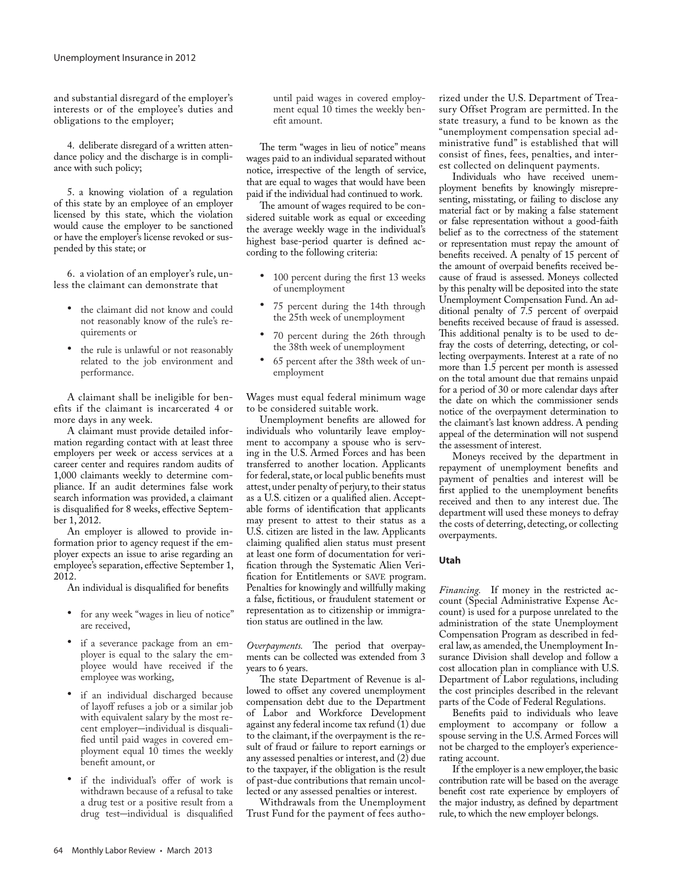and substantial disregard of the employer's interests or of the employee's duties and obligations to the employer;

4. deliberate disregard of a written attendance policy and the discharge is in compliance with such policy;

5. a knowing violation of a regulation of this state by an employee of an employer licensed by this state, which the violation would cause the employer to be sanctioned or have the employer's license revoked or suspended by this state; or

6. a violation of an employer's rule, unless the claimant can demonstrate that

- • the claimant did not know and could not reasonably know of the rule's requirements or
- the rule is unlawful or not reasonably related to the job environment and performance.

A claimant shall be ineligible for benefits if the claimant is incarcerated 4 or more days in any week.

A claimant must provide detailed information regarding contact with at least three employers per week or access services at a career center and requires random audits of 1,000 claimants weekly to determine compliance. If an audit determines false work search information was provided, a claimant is disqualified for 8 weeks, effective September 1, 2012.

An employer is allowed to provide information prior to agency request if the employer expects an issue to arise regarding an employee's separation, effective September 1, 2012.

An individual is disqualified for benefits

- for any week "wages in lieu of notice" are received,
- • if a severance package from an employer is equal to the salary the employee would have received if the employee was working,
- if an individual discharged because of layoff refuses a job or a similar job with equivalent salary by the most recent employer-individual is disqualified until paid wages in covered employment equal  $1\bar{0}$  times the weekly benefit amount, or
- if the individual's offer of work is withdrawn because of a refusal to take a drug test or a positive result from a drug test-individual is disqualified

until paid wages in covered employment equal 10 times the weekly benefit amount.

The term "wages in lieu of notice" means wages paid to an individual separated without notice, irrespective of the length of service, that are equal to wages that would have been paid if the individual had continued to work.

The amount of wages required to be considered suitable work as equal or exceeding the average weekly wage in the individual's highest base-period quarter is defined according to the following criteria:

- • 100 percent during the first 13 weeks of unemployment
- 75 percent during the 14th through the 25th week of unemployment
- 70 percent during the 26th through the 38th week of unemployment
- 65 percent after the 38th week of unemployment

Wages must equal federal minimum wage to be considered suitable work.

Unemployment benefits are allowed for individuals who voluntarily leave employment to accompany a spouse who is serving in the U.S. Armed Forces and has been transferred to another location. Applicants for federal, state, or local public benefits must attest, under penalty of perjury, to their status as a U.S. citizen or a qualified alien. Acceptable forms of identification that applicants may present to attest to their status as a U.S. citizen are listed in the law. Applicants claiming qualified alien status must present at least one form of documentation for verification through the Systematic Alien Verification for Entitlements or SAVE program. Penalties for knowingly and willfully making a false, fictitious, or fraudulent statement or representation as to citizenship or immigration status are outlined in the law.

*Overpayments.* The period that overpayments can be collected was extended from 3 years to 6 years.

The state Department of Revenue is allowed to offset any covered unemployment compensation debt due to the Department of Labor and Workforce Development against any federal income tax refund (1) due to the claimant, if the overpayment is the result of fraud or failure to report earnings or any assessed penalties or interest, and (2) due to the taxpayer, if the obligation is the result of past-due contributions that remain uncollected or any assessed penalties or interest.

Withdrawals from the Unemployment Trust Fund for the payment of fees authorized under the U.S. Department of Treasury Offset Program are permitted. In the state treasury, a fund to be known as the "unemployment compensation special administrative fund" is established that will consist of fines, fees, penalties, and interest collected on delinquent payments.

Individuals who have received unemployment benefits by knowingly misrepresenting, misstating, or failing to disclose any material fact or by making a false statement or false representation without a good-faith belief as to the correctness of the statement or representation must repay the amount of benefits received. A penalty of 15 percent of the amount of overpaid benefits received because of fraud is assessed. Moneys collected by this penalty will be deposited into the state Unemployment Compensation Fund. An additional penalty of 7.5 percent of overpaid benefits received because of fraud is assessed. This additional penalty is to be used to defray the costs of deterring, detecting, or collecting overpayments. Interest at a rate of no more than 1.5 percent per month is assessed on the total amount due that remains unpaid for a period of 30 or more calendar days after the date on which the commissioner sends notice of the overpayment determination to the claimant's last known address. A pending appeal of the determination will not suspend the assessment of interest.

Moneys received by the department in repayment of unemployment benefits and payment of penalties and interest will be first applied to the unemployment benefits received and then to any interest due. The department will used these moneys to defray the costs of deterring, detecting, or collecting overpayments.

# **Utah**

*Financing.* If money in the restricted account (Special Administrative Expense Account) is used for a purpose unrelated to the administration of the state Unemployment Compensation Program as described in federal law, as amended, the Unemployment Insurance Division shall develop and follow a cost allocation plan in compliance with U.S. Department of Labor regulations, including the cost principles described in the relevant parts of the Code of Federal Regulations.

Benefits paid to individuals who leave employment to accompany or follow a spouse serving in the U.S. Armed Forces will not be charged to the employer's experiencerating account.

If the employer is a new employer, the basic contribution rate will be based on the average benefit cost rate experience by employers of the major industry, as defined by department rule, to which the new employer belongs.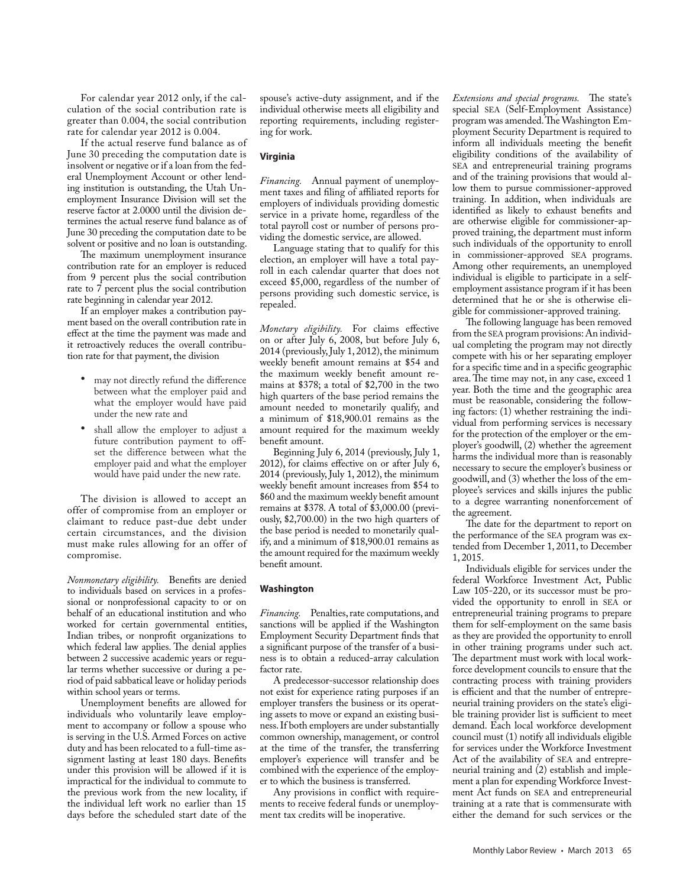For calendar year 2012 only, if the calculation of the social contribution rate is greater than 0.004, the social contribution rate for calendar year 2012 is 0.004.

If the actual reserve fund balance as of June 30 preceding the computation date is insolvent or negative or if a loan from the federal Unemployment Account or other lending institution is outstanding, the Utah Unemployment Insurance Division will set the reserve factor at 2.0000 until the division determines the actual reserve fund balance as of June 30 preceding the computation date to be solvent or positive and no loan is outstanding.

The maximum unemployment insurance contribution rate for an employer is reduced from 9 percent plus the social contribution rate to 7 percent plus the social contribution rate beginning in calendar year 2012.

If an employer makes a contribution payment based on the overall contribution rate in effect at the time the payment was made and it retroactively reduces the overall contribution rate for that payment, the division

- may not directly refund the difference between what the employer paid and what the employer would have paid under the new rate and
- • shall allow the employer to adjust a future contribution payment to offset the difference between what the employer paid and what the employer would have paid under the new rate.

The division is allowed to accept an offer of compromise from an employer or claimant to reduce past-due debt under certain circumstances, and the division must make rules allowing for an offer of compromise.

*Nonmonetary eligibility.* Benefits are denied to individuals based on services in a professional or nonprofessional capacity to or on behalf of an educational institution and who worked for certain governmental entities, Indian tribes, or nonprofit organizations to which federal law applies. The denial applies between 2 successive academic years or regular terms whether successive or during a period of paid sabbatical leave or holiday periods within school years or terms.

Unemployment benefits are allowed for individuals who voluntarily leave employment to accompany or follow a spouse who is serving in the U.S. Armed Forces on active duty and has been relocated to a full-time assignment lasting at least 180 days. Benefits under this provision will be allowed if it is impractical for the individual to commute to the previous work from the new locality, if the individual left work no earlier than 15 days before the scheduled start date of the

spouse's active-duty assignment, and if the individual otherwise meets all eligibility and reporting requirements, including registering for work.

#### **Virginia**

*Financing.* Annual payment of unemployment taxes and filing of affiliated reports for employers of individuals providing domestic service in a private home, regardless of the total payroll cost or number of persons providing the domestic service, are allowed.

Language stating that to qualify for this election, an employer will have a total payroll in each calendar quarter that does not exceed \$5,000, regardless of the number of persons providing such domestic service, is repealed.

*Monetary eligibility.* For claims effective on or after July 6, 2008, but before July 6, 2014 (previously, July 1, 2012), the minimum weekly benefit amount remains at \$54 and the maximum weekly benefit amount remains at \$378; a total of \$2,700 in the two high quarters of the base period remains the amount needed to monetarily qualify, and a minimum of \$18,900.01 remains as the amount required for the maximum weekly benefit amount.

Beginning July 6, 2014 (previously, July 1, 2012), for claims effective on or after July 6, 2014 (previously, July 1, 2012), the minimum weekly benefit amount increases from \$54 to \$60 and the maximum weekly benefit amount remains at \$378. A total of \$3,000.00 (previously, \$2,700.00) in the two high quarters of the base period is needed to monetarily qualify, and a minimum of \$18,900.01 remains as the amount required for the maximum weekly benefit amount.

#### **Washington**

*Financing.* Penalties, rate computations, and sanctions will be applied if the Washington Employment Security Department finds that a significant purpose of the transfer of a business is to obtain a reduced-array calculation factor rate.

A predecessor-successor relationship does not exist for experience rating purposes if an employer transfers the business or its operating assets to move or expand an existing business. If both employers are under substantially common ownership, management, or control at the time of the transfer, the transferring employer's experience will transfer and be combined with the experience of the employer to which the business is transferred.

Any provisions in conflict with requirements to receive federal funds or unemployment tax credits will be inoperative.

*Extensions and special programs.* The state's special SEA (Self-Employment Assistance) program was amended. The Washington Employment Security Department is required to inform all individuals meeting the benefit eligibility conditions of the availability of SEA and entrepreneurial training programs and of the training provisions that would allow them to pursue commissioner-approved training. In addition, when individuals are identified as likely to exhaust benefits and are otherwise eligible for commissioner-approved training, the department must inform such individuals of the opportunity to enroll in commissioner-approved SEA programs. Among other requirements, an unemployed individual is eligible to participate in a selfemployment assistance program if it has been determined that he or she is otherwise eligible for commissioner-approved training.

The following language has been removed from the SEA program provisions: An individual completing the program may not directly compete with his or her separating employer for a specific time and in a specific geographic area. The time may not, in any case, exceed 1 year. Both the time and the geographic area must be reasonable, considering the following factors: (1) whether restraining the individual from performing services is necessary for the protection of the employer or the employer's goodwill, (2) whether the agreement harms the individual more than is reasonably necessary to secure the employer's business or goodwill, and (3) whether the loss of the employee's services and skills injures the public to a degree warranting nonenforcement of the agreement.

The date for the department to report on the performance of the SEA program was extended from December 1, 2011, to December 1, 2015.

Individuals eligible for services under the federal Workforce Investment Act, Public Law 105-220, or its successor must be provided the opportunity to enroll in SEA or entrepreneurial training programs to prepare them for self-employment on the same basis as they are provided the opportunity to enroll in other training programs under such act. The department must work with local workforce development councils to ensure that the contracting process with training providers is efficient and that the number of entrepreneurial training providers on the state's eligible training provider list is sufficient to meet demand. Each local workforce development council must (1) notify all individuals eligible for services under the Workforce Investment Act of the availability of SEA and entrepreneurial training and (2) establish and implement a plan for expending Workforce Investment Act funds on SEA and entrepreneurial training at a rate that is commensurate with either the demand for such services or the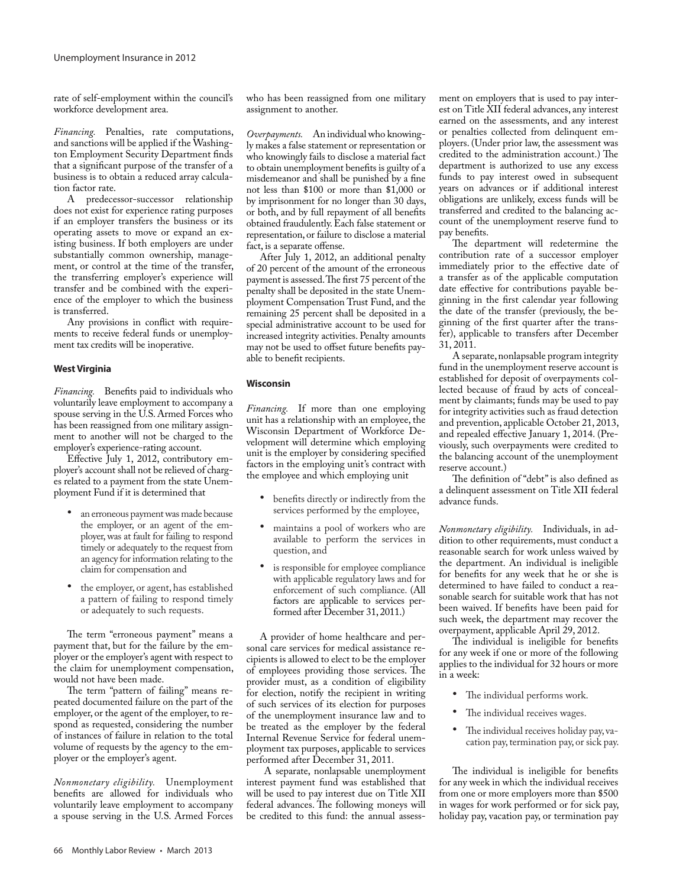rate of self-employment within the council's workforce development area.

*Financing.* Penalties, rate computations, and sanctions will be applied if the Washington Employment Security Department finds that a significant purpose of the transfer of a business is to obtain a reduced array calculation factor rate.

A predecessor-successor relationship does not exist for experience rating purposes if an employer transfers the business or its operating assets to move or expand an existing business. If both employers are under substantially common ownership, management, or control at the time of the transfer, the transferring employer's experience will transfer and be combined with the experience of the employer to which the business is transferred.

Any provisions in conflict with requirements to receive federal funds or unemployment tax credits will be inoperative.

#### **West Virginia**

*Financing.* Benefits paid to individuals who voluntarily leave employment to accompany a spouse serving in the U.S. Armed Forces who has been reassigned from one military assignment to another will not be charged to the employer's experience-rating account.

Effective July 1, 2012, contributory employer's account shall not be relieved of charges related to a payment from the state Unemployment Fund if it is determined that

- an erroneous payment was made because the employer, or an agent of the employer, was at fault for failing to respond timely or adequately to the request from an agency for information relating to the claim for compensation and
- the employer, or agent, has established a pattern of failing to respond timely or adequately to such requests.

The term "erroneous payment" means a payment that, but for the failure by the employer or the employer's agent with respect to the claim for unemployment compensation, would not have been made.

The term "pattern of failing" means repeated documented failure on the part of the employer, or the agent of the employer, to respond as requested, considering the number of instances of failure in relation to the total volume of requests by the agency to the employer or the employer's agent.

*Nonmonetary eligibility.* Unemployment benefits are allowed for individuals who voluntarily leave employment to accompany a spouse serving in the U.S. Armed Forces

who has been reassigned from one military assignment to another.

*Overpayments.* An individual who knowingly makes a false statement or representation or who knowingly fails to disclose a material fact to obtain unemployment benefits is guilty of a misdemeanor and shall be punished by a fine not less than \$100 or more than \$1,000 or by imprisonment for no longer than 30 days, or both, and by full repayment of all benefits obtained fraudulently. Each false statement or representation, or failure to disclose a material fact, is a separate offense.

After July 1, 2012, an additional penalty of 20 percent of the amount of the erroneous payment is assessed. The first 75 percent of the penalty shall be deposited in the state Unemployment Compensation Trust Fund, and the remaining 25 percent shall be deposited in a special administrative account to be used for increased integrity activities. Penalty amounts may not be used to offset future benefits payable to benefit recipients.

#### **Wisconsin**

*Financing.* If more than one employing unit has a relationship with an employee, the Wisconsin Department of Workforce Development will determine which employing unit is the employer by considering specified factors in the employing unit's contract with the employee and which employing unit

- • benefits directly or indirectly from the services performed by the employee,
- maintains a pool of workers who are available to perform the services in question, and
- is responsible for employee compliance with applicable regulatory laws and for enforcement of such compliance. (All factors are applicable to services performed after December 31, 2011.)

A provider of home healthcare and personal care services for medical assistance recipients is allowed to elect to be the employer of employees providing those services. The provider must, as a condition of eligibility for election, notify the recipient in writing of such services of its election for purposes of the unemployment insurance law and to be treated as the employer by the federal Internal Revenue Service for federal unemployment tax purposes, applicable to services performed after December 31, 2011.

 A separate, nonlapsable unemployment interest payment fund was established that will be used to pay interest due on Title XII federal advances. The following moneys will be credited to this fund: the annual assessment on employers that is used to pay interest on Title XII federal advances, any interest earned on the assessments, and any interest or penalties collected from delinquent employers. (Under prior law, the assessment was credited to the administration account.) The department is authorized to use any excess funds to pay interest owed in subsequent years on advances or if additional interest obligations are unlikely, excess funds will be transferred and credited to the balancing account of the unemployment reserve fund to pay benefits.

The department will redetermine the contribution rate of a successor employer immediately prior to the effective date of a transfer as of the applicable computation date effective for contributions payable beginning in the first calendar year following the date of the transfer (previously, the beginning of the first quarter after the transfer), applicable to transfers after December 31, 2011.

A separate, nonlapsable program integrity fund in the unemployment reserve account is established for deposit of overpayments collected because of fraud by acts of concealment by claimants; funds may be used to pay for integrity activities such as fraud detection and prevention, applicable October 21, 2013, and repealed effective January 1, 2014. (Previously, such overpayments were credited to the balancing account of the unemployment reserve account.)

The definition of "debt" is also defined as a delinquent assessment on Title XII federal advance funds.

*Nonmonetary eligibility.* Individuals, in addition to other requirements, must conduct a reasonable search for work unless waived by the department. An individual is ineligible for benefits for any week that he or she is determined to have failed to conduct a reasonable search for suitable work that has not been waived. If benefits have been paid for such week, the department may recover the overpayment, applicable April 29, 2012.

The individual is ineligible for benefits for any week if one or more of the following applies to the individual for 32 hours or more in a week:

- • The individual performs work.
- The individual receives wages.
- The individual receives holiday pay, vacation pay, termination pay, or sick pay.

The individual is ineligible for benefits for any week in which the individual receives from one or more employers more than \$500 in wages for work performed or for sick pay, holiday pay, vacation pay, or termination pay